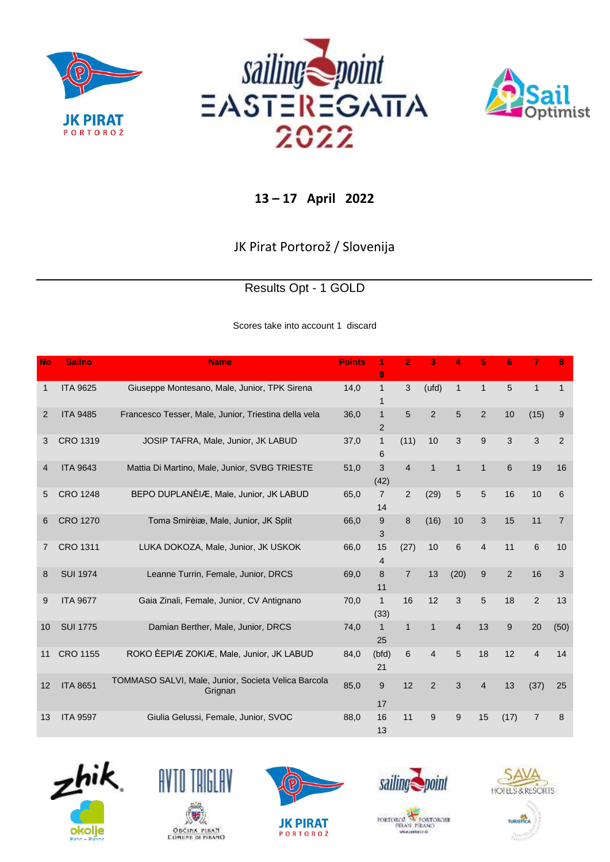





## **– 17 April 2022**

## JK Pirat Portorož / Slovenija

Results Opt - 1 GOLD

Scores take into account 1 discard

| <b>No</b>      | <b>Sailno</b>   | <b>Name</b>                                                    | <b>Points</b> | 1<br>9                         | 2              | 3                       | Λ              | 5              | 6              |                | 8              |
|----------------|-----------------|----------------------------------------------------------------|---------------|--------------------------------|----------------|-------------------------|----------------|----------------|----------------|----------------|----------------|
| 1              | <b>ITA 9625</b> | Giuseppe Montesano, Male, Junior, TPK Sirena                   | 14,0          | $\mathbf{1}$<br>1              | 3              | (ufd)                   | $\mathbf{1}$   | $\mathbf{1}$   | 5              | $\mathbf{1}$   | $\mathbf{1}$   |
| $\overline{2}$ | <b>ITA 9485</b> | Francesco Tesser, Male, Junior, Triestina della vela           | 36,0          | $\mathbf{1}$<br>$\overline{2}$ | 5              | $\overline{2}$          | 5              | 2              | 10             | (15)           | 9              |
| 3              | CRO 1319        | JOSIP TAFRA, Male, Junior, JK LABUD                            | 37,0          | $\mathbf{1}$<br>6              | (11)           | 10                      | 3              | 9              | 3              | 3              | $\overline{2}$ |
| 4              | <b>ITA 9643</b> | Mattia Di Martino, Male, Junior, SVBG TRIESTE                  | 51,0          | 3<br>(42)                      | 4              | $\mathbf{1}$            | $\mathbf{1}$   | $\mathbf{1}$   | 6              | 19             | 16             |
| 5              | <b>CRO 1248</b> | BEPO DUPLANÈIÆ, Male, Junior, JK LABUD                         | 65,0          | $\overline{7}$<br>14           | $\overline{2}$ | (29)                    | 5              | 5              | 16             | 10             | 6              |
| 6              | <b>CRO 1270</b> | Toma Smirèiæ, Male, Junior, JK Split                           | 66,0          | 9<br>3                         | 8              | (16)                    | 10             | 3              | 15             | 11             | $\overline{7}$ |
| 7              | <b>CRO 1311</b> | LUKA DOKOZA, Male, Junior, JK USKOK                            | 66,0          | 15<br>4                        | (27)           | 10                      | 6              | 4              | 11             | 6              | 10             |
| 8              | <b>SUI 1974</b> | Leanne Turrin, Female, Junior, DRCS                            | 69,0          | 8<br>11                        | $\overline{7}$ | 13                      | (20)           | 9              | $\overline{2}$ | 16             | 3              |
| 9              | <b>ITA 9677</b> | Gaia Zinali, Female, Junior, CV Antignano                      | 70,0          | $\mathbf{1}$<br>(33)           | 16             | 12                      | 3              | 5              | 18             | $\overline{2}$ | 13             |
| 10             | <b>SUI 1775</b> | Damian Berther, Male, Junior, DRCS                             | 74,0          | $\mathbf{1}$<br>25             | 1              | $\mathbf{1}$            | $\overline{4}$ | 13             | 9              | 20             | (50)           |
| 11             | <b>CRO 1155</b> | ROKO ÈEPIÆ ZOKIÆ, Male, Junior, JK LABUD                       | 84,0          | (bfd)<br>21                    | 6              | $\overline{\mathbf{4}}$ | 5              | 18             | 12             | $\overline{4}$ | 14             |
| 12             | <b>ITA 8651</b> | TOMMASO SALVI, Male, Junior, Societa Velica Barcola<br>Grignan | 85,0          | 9<br>17                        | 12             | $\overline{2}$          | 3              | $\overline{4}$ | 13             | (37)           | 25             |
| 13             | <b>ITA 9597</b> | Giulia Gelussi, Female, Junior, SVOC                           | 88,0          | 16<br>13                       | 11             | 9                       | 9              | 15             | (17)           | $\overline{7}$ | 8              |









PORTOROZ V PORTOROSE

www.portorst.el

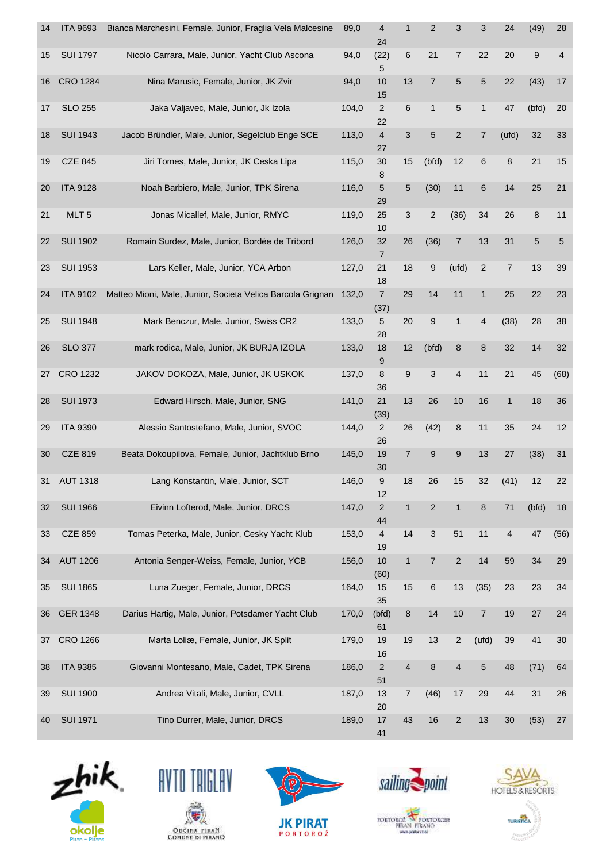| 14 | <b>ITA 9693</b>  | Bianca Marchesini, Female, Junior, Fraglia Vela Malcesine  | 89,0  | 4<br>24                | $\mathbf{1}$   | $\overline{2}$   | 3              | 3                | 24             | (49)  | 28   |
|----|------------------|------------------------------------------------------------|-------|------------------------|----------------|------------------|----------------|------------------|----------------|-------|------|
| 15 | <b>SUI 1797</b>  | Nicolo Carrara, Male, Junior, Yacht Club Ascona            | 94,0  | (22)<br>5              | 6              | 21               | 7              | 22               | 20             | 9     | 4    |
| 16 | <b>CRO 1284</b>  | Nina Marusic, Female, Junior, JK Zvir                      | 94,0  | 10<br>15               | 13             | $\overline{7}$   | 5              | 5                | 22             | (43)  | 17   |
| 17 | <b>SLO 255</b>   | Jaka Valjavec, Male, Junior, Jk Izola                      | 104,0 | $\overline{c}$<br>22   | 6              | $\mathbf{1}$     | 5              | $\mathbf{1}$     | 47             | (bfd) | 20   |
| 18 | <b>SUI 1943</b>  | Jacob Bründler, Male, Junior, Segelclub Enge SCE           | 113,0 | $\overline{4}$<br>27   | 3              | $\sqrt{5}$       | $\overline{c}$ | $\overline{7}$   | (ufd)          | 32    | 33   |
| 19 | <b>CZE 845</b>   | Jiri Tomes, Male, Junior, JK Ceska Lipa                    | 115,0 | 30<br>8                | 15             | (bfd)            | 12             | 6                | 8              | 21    | 15   |
| 20 | <b>ITA 9128</b>  | Noah Barbiero, Male, Junior, TPK Sirena                    | 116,0 | 5<br>29                | 5              | (30)             | 11             | 6                | 14             | 25    | 21   |
| 21 | MLT <sub>5</sub> | Jonas Micallef, Male, Junior, RMYC                         | 119,0 | 25<br>10               | 3              | $\overline{c}$   | (36)           | 34               | 26             | 8     | 11   |
| 22 | <b>SUI 1902</b>  | Romain Surdez, Male, Junior, Bordée de Tribord             | 126,0 | 32<br>$\overline{7}$   | 26             | (36)             | 7              | 13               | 31             | 5     | 5    |
| 23 | <b>SUI 1953</b>  | Lars Keller, Male, Junior, YCA Arbon                       | 127,0 | 21<br>18               | 18             | 9                | (ufd)          | $\overline{c}$   | $\overline{7}$ | 13    | 39   |
| 24 | <b>ITA 9102</b>  | Matteo Mioni, Male, Junior, Societa Velica Barcola Grignan | 132,0 | $\overline{7}$<br>(37) | 29             | 14               | 11             | $\mathbf{1}$     | 25             | 22    | 23   |
| 25 | <b>SUI 1948</b>  | Mark Benczur, Male, Junior, Swiss CR2                      | 133,0 | 5<br>28                | 20             | $\boldsymbol{9}$ | $\mathbf{1}$   | 4                | (38)           | 28    | 38   |
| 26 | <b>SLO 377</b>   | mark rodica, Male, Junior, JK BURJA IZOLA                  | 133,0 | 18<br>9                | 12             | (bfd)            | 8              | 8                | 32             | 14    | 32   |
| 27 | <b>CRO 1232</b>  | JAKOV DOKOZA, Male, Junior, JK USKOK                       | 137,0 | 8<br>36                | 9              | 3                | 4              | 11               | 21             | 45    | (68) |
| 28 | <b>SUI 1973</b>  | Edward Hirsch, Male, Junior, SNG                           | 141,0 | 21<br>(39)             | 13             | 26               | 10             | 16               | $\mathbf{1}$   | 18    | 36   |
| 29 | <b>ITA 9390</b>  | Alessio Santostefano, Male, Junior, SVOC                   | 144,0 | $\overline{2}$<br>26   | 26             | (42)             | 8              | 11               | 35             | 24    | 12   |
| 30 | <b>CZE 819</b>   | Beata Dokoupilova, Female, Junior, Jachtklub Brno          | 145,0 | 19<br>30               | $\overline{7}$ | 9                | 9              | 13               | 27             | (38)  | 31   |
| 31 | <b>AUT 1318</b>  | Lang Konstantin, Male, Junior, SCT                         | 146,0 | 9<br>12                | 18             | 26               | 15             | 32               | (41)           | 12    | 22   |
| 32 | <b>SUI 1966</b>  | Eivinn Lofterod, Male, Junior, DRCS                        | 147,0 | $\mathbf{2}$<br>44     | $\mathbf{1}$   | $\boldsymbol{2}$ | $\mathbf{1}$   | 8                | 71             | (bfd) | 18   |
| 33 | <b>CZE 859</b>   | Tomas Peterka, Male, Junior, Cesky Yacht Klub              | 153,0 | $\sqrt{4}$<br>19       | 14             | 3                | 51             | 11               | 4              | 47    | (56) |
| 34 | <b>AUT 1206</b>  | Antonia Senger-Weiss, Female, Junior, YCB                  | 156,0 | 10<br>(60)             | $\mathbf{1}$   | $\overline{7}$   | $\overline{c}$ | 14               | 59             | 34    | 29   |
| 35 | <b>SUI 1865</b>  | Luna Zueger, Female, Junior, DRCS                          | 164,0 | 15<br>35               | 15             | 6                | 13             | (35)             | 23             | 23    | 34   |
| 36 | <b>GER 1348</b>  | Darius Hartig, Male, Junior, Potsdamer Yacht Club          | 170,0 | (bfd)<br>61            | 8              | 14               | 10             | $\boldsymbol{7}$ | 19             | 27    | 24   |
| 37 | <b>CRO 1266</b>  | Marta Loliæ, Female, Junior, JK Split                      | 179,0 | 19<br>16               | 19             | 13               | 2              | (ufd)            | 39             | 41    | 30   |
| 38 | <b>ITA 9385</b>  | Giovanni Montesano, Male, Cadet, TPK Sirena                | 186,0 | 2<br>51                | 4              | 8                | 4              | $\sqrt{5}$       | 48             | (71)  | 64   |
| 39 | <b>SUI 1900</b>  | Andrea Vitali, Male, Junior, CVLL                          | 187,0 | 13<br>20               | $\overline{7}$ | (46)             | 17             | 29               | 44             | 31    | 26   |
| 40 | <b>SUI 1971</b>  | Tino Durrer, Male, Junior, DRCS                            | 189,0 | 17<br>41               | 43             | 16               | $\overline{c}$ | 13               | 30             | (53)  | 27   |











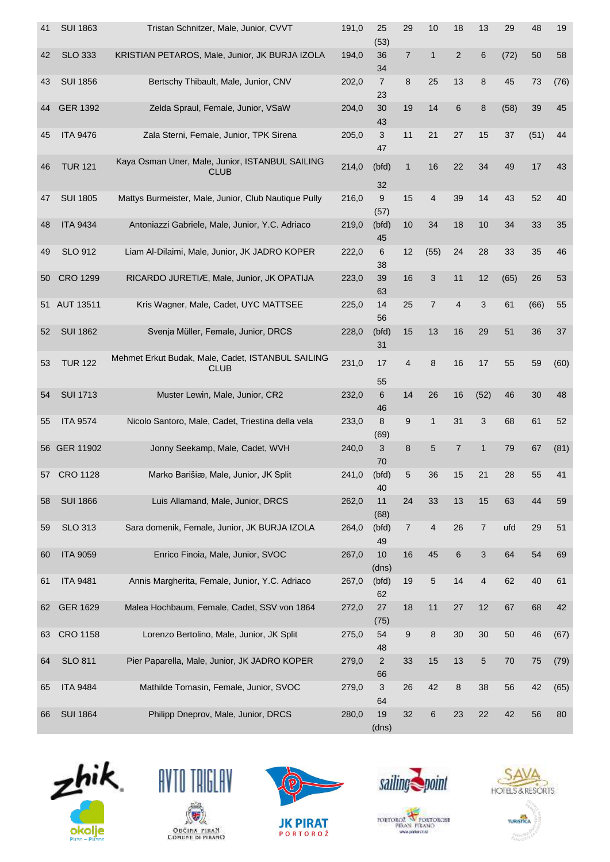| 41 | <b>SUI 1863</b>  | Tristan Schnitzer, Male, Junior, CVVT                     | 191,0 | 25<br>(53)           | 29             | 10           | 18             | 13                        | 29     | 48   | 19   |
|----|------------------|-----------------------------------------------------------|-------|----------------------|----------------|--------------|----------------|---------------------------|--------|------|------|
| 42 | <b>SLO 333</b>   | KRISTIAN PETAROS, Male, Junior, JK BURJA IZOLA            | 194,0 | 36<br>34             | $\overline{7}$ | $\mathbf{1}$ | $\overline{c}$ | 6                         | (72)   | 50   | 58   |
| 43 | <b>SUI 1856</b>  | Bertschy Thibault, Male, Junior, CNV                      | 202,0 | $\overline{7}$<br>23 | 8              | 25           | 13             | 8                         | 45     | 73   | (76) |
| 44 | <b>GER 1392</b>  | Zelda Spraul, Female, Junior, VSaW                        | 204,0 | 30<br>43             | 19             | 14           | 6              | 8                         | (58)   | 39   | 45   |
| 45 | <b>ITA 9476</b>  | Zala Sterni, Female, Junior, TPK Sirena                   | 205,0 | 3<br>47              | 11             | 21           | 27             | 15                        | 37     | (51) | 44   |
| 46 | <b>TUR 121</b>   | Kaya Osman Uner, Male, Junior, ISTANBUL SAILING<br>CLUB   | 214,0 | (bfd)<br>32          | $\mathbf{1}$   | 16           | 22             | 34                        | 49     | 17   | 43   |
| 47 | <b>SUI 1805</b>  | Mattys Burmeister, Male, Junior, Club Nautique Pully      | 216,0 | 9<br>(57)            | 15             | 4            | 39             | 14                        | 43     | 52   | 40   |
| 48 | <b>ITA 9434</b>  | Antoniazzi Gabriele, Male, Junior, Y.C. Adriaco           | 219,0 | (bfd)<br>45          | 10             | 34           | 18             | 10                        | 34     | 33   | 35   |
| 49 | <b>SLO 912</b>   | Liam Al-Dilaimi, Male, Junior, JK JADRO KOPER             | 222,0 | 6<br>38              | 12             | (55)         | 24             | 28                        | 33     | 35   | 46   |
| 50 | <b>CRO 1299</b>  | RICARDO JURETIÆ, Male, Junior, JK OPATIJA                 | 223,0 | 39<br>63             | 16             | 3            | 11             | 12                        | (65)   | 26   | 53   |
| 51 | AUT 13511        | Kris Wagner, Male, Cadet, UYC MATTSEE                     | 225,0 | 14<br>56             | 25             | 7            | 4              | 3                         | 61     | (66) | 55   |
| 52 | <b>SUI 1862</b>  | Svenja Müller, Female, Junior, DRCS                       | 228,0 | (bfd)<br>31          | 15             | 13           | 16             | 29                        | 51     | 36   | 37   |
| 53 | <b>TUR 122</b>   | Mehmet Erkut Budak, Male, Cadet, ISTANBUL SAILING<br>CLUB | 231,0 | 17<br>55             | 4              | 8            | 16             | 17                        | 55     | 59   | (60) |
| 54 | <b>SUI 1713</b>  | Muster Lewin, Male, Junior, CR2                           | 232,0 | 6<br>46              | 14             | 26           | 16             | (52)                      | 46     | 30   | 48   |
| 55 | <b>ITA 9574</b>  | Nicolo Santoro, Male, Cadet, Triestina della vela         | 233,0 | 8<br>(69)            | 9              | $\mathbf{1}$ | 31             | 3                         | 68     | 61   | 52   |
| 56 | <b>GER 11902</b> | Jonny Seekamp, Male, Cadet, WVH                           | 240,0 | 3<br>70              | 8              | 5            | $\overline{7}$ | $\mathbf{1}$              | 79     | 67   | (81) |
| 57 | <b>CRO 1128</b>  | Marko Barišiæ, Male, Junior, JK Split                     | 241,0 | (bfd)<br>40          | 5              | 36           | 15             | 21                        | 28     | 55   | 41   |
| 58 | <b>SUI 1866</b>  | Luis Allamand, Male, Junior, DRCS                         | 262,0 | 11<br>(68)           | 24             | 33           | 13             | 15                        | 63     | 44   | 59   |
| 59 | <b>SLO 313</b>   | Sara domenik, Female, Junior, JK BURJA IZOLA              | 264,0 | (bfd)<br>49          | $\overline{7}$ | 4            | 26             | $\boldsymbol{7}$          | ufd    | 29   | 51   |
| 60 | <b>ITA 9059</b>  | Enrico Finoia, Male, Junior, SVOC                         | 267,0 | 10<br>(dns)          | 16             | 45           | 6              | $\ensuremath{\mathsf{3}}$ | 64     | 54   | 69   |
| 61 | <b>ITA 9481</b>  | Annis Margherita, Female, Junior, Y.C. Adriaco            | 267,0 | (bfd)<br>62          | 19             | 5            | 14             | $\overline{\mathcal{A}}$  | 62     | 40   | 61   |
| 62 | <b>GER 1629</b>  | Malea Hochbaum, Female, Cadet, SSV von 1864               | 272,0 | 27<br>(75)           | 18             | 11           | 27             | 12                        | 67     | 68   | 42   |
| 63 | <b>CRO 1158</b>  | Lorenzo Bertolino, Male, Junior, JK Split                 | 275,0 | 54<br>48             | 9              | $\,$ 8 $\,$  | $30\,$         | 30                        | 50     | 46   | (67) |
| 64 | <b>SLO 811</b>   | Pier Paparella, Male, Junior, JK JADRO KOPER              | 279,0 | $\overline{2}$<br>66 | 33             | 15           | 13             | 5                         | $70\,$ | 75   | (79) |
| 65 | <b>ITA 9484</b>  | Mathilde Tomasin, Female, Junior, SVOC                    | 279,0 | 3<br>64              | 26             | 42           | $\bf 8$        | 38                        | 56     | 42   | (65) |
| 66 | <b>SUI 1864</b>  | Philipp Dneprov, Male, Junior, DRCS                       | 280,0 | 19<br>(dns)          | 32             | 6            | 23             | 22                        | 42     | 56   | 80   |











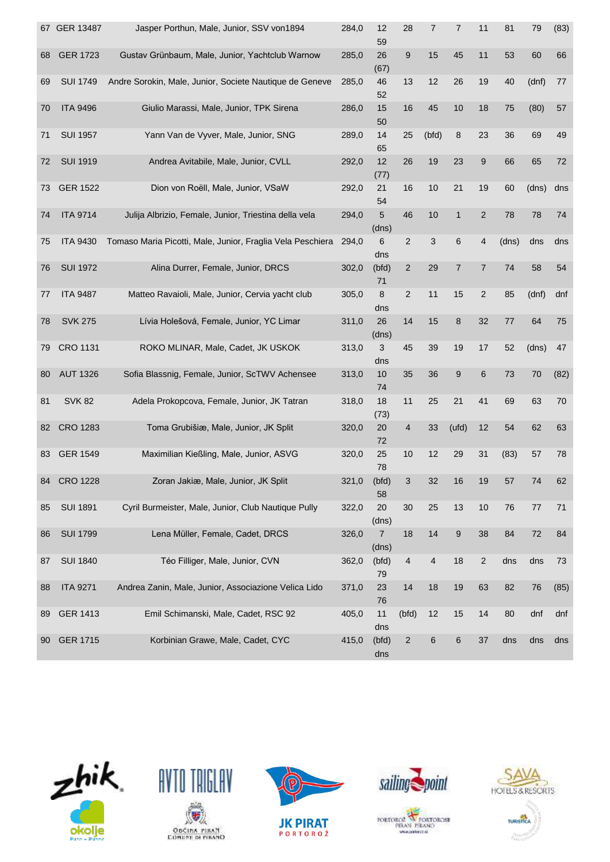| 67 | GER 13487       | Jasper Porthun, Male, Junior, SSV von1894                  | 284,0 | 12<br>59                | 28                      | $\overline{7}$ | 7                | 11               | 81    | 79     | (83) |
|----|-----------------|------------------------------------------------------------|-------|-------------------------|-------------------------|----------------|------------------|------------------|-------|--------|------|
| 68 | <b>GER 1723</b> | Gustav Grünbaum, Male, Junior, Yachtclub Warnow            | 285,0 | 26<br>(67)              | 9                       | 15             | 45               | 11               | 53    | 60     | 66   |
| 69 | <b>SUI 1749</b> | Andre Sorokin, Male, Junior, Societe Nautique de Geneve    | 285,0 | 46<br>52                | 13                      | 12             | 26               | 19               | 40    | (dnf)  | 77   |
| 70 | <b>ITA 9496</b> | Giulio Marassi, Male, Junior, TPK Sirena                   | 286,0 | 15<br>50                | 16                      | 45             | 10               | 18               | 75    | (80)   | 57   |
| 71 | <b>SUI 1957</b> | Yann Van de Vyver, Male, Junior, SNG                       | 289,0 | 14<br>65                | 25                      | (bfd)          | 8                | 23               | 36    | 69     | 49   |
| 72 | <b>SUI 1919</b> | Andrea Avitabile, Male, Junior, CVLL                       | 292,0 | 12<br>(77)              | 26                      | 19             | 23               | $\boldsymbol{9}$ | 66    | 65     | 72   |
| 73 | <b>GER 1522</b> | Dion von Roëll, Male, Junior, VSaW                         | 292,0 | 21<br>54                | 16                      | 10             | 21               | 19               | 60    | (dns)  | dns  |
| 74 | <b>ITA 9714</b> | Julija Albrizio, Female, Junior, Triestina della vela      | 294,0 | 5<br>(dns)              | 46                      | 10             | $\mathbf 1$      | $\overline{2}$   | 78    | 78     | 74   |
| 75 | <b>ITA 9430</b> | Tomaso Maria Picotti, Male, Junior, Fraglia Vela Peschiera | 294,0 | 6<br>dns                | $\overline{2}$          | 3              | 6                | 4                | (dns) | dns    | dns  |
| 76 | <b>SUI 1972</b> | Alina Durrer, Female, Junior, DRCS                         | 302,0 | (bfd)<br>71             | $\overline{c}$          | 29             | $\overline{7}$   | $\overline{7}$   | 74    | 58     | 54   |
| 77 | <b>ITA 9487</b> | Matteo Ravaioli, Male, Junior, Cervia yacht club           | 305,0 | 8<br>dns                | $\overline{c}$          | 11             | 15               | $\boldsymbol{2}$ | 85    | (dnf)  | dnf  |
| 78 | <b>SVK 275</b>  | Lívia Holešová, Female, Junior, YC Limar                   | 311,0 | 26<br>(dns)             | 14                      | 15             | 8                | 32               | 77    | 64     | 75   |
| 79 | <b>CRO 1131</b> | ROKO MLINAR, Male, Cadet, JK USKOK                         | 313,0 | 3<br>dns                | 45                      | 39             | 19               | 17               | 52    | (dns)  | 47   |
| 80 | <b>AUT 1326</b> | Sofia Blassnig, Female, Junior, ScTWV Achensee             | 313,0 | 10<br>74                | 35                      | 36             | 9                | $\,6$            | 73    | 70     | (82) |
| 81 | <b>SVK 82</b>   | Adela Prokopcova, Female, Junior, JK Tatran                | 318,0 | 18<br>(73)              | 11                      | 25             | 21               | 41               | 69    | 63     | 70   |
| 82 | <b>CRO 1283</b> | Toma Grubišiæ, Male, Junior, JK Split                      | 320,0 | 20<br>72                | $\overline{4}$          | 33             | (ufd)            | 12               | 54    | 62     | 63   |
| 83 | <b>GER 1549</b> | Maximilian Kießling, Male, Junior, ASVG                    | 320,0 | 25<br>78                | 10                      | 12             | 29               | 31               | (83)  | 57     | 78   |
| 84 | <b>CRO 1228</b> | Zoran Jakiæ, Male, Junior, JK Split                        | 321,0 | (bfd)<br>58             | 3                       | 32             | 16               | 19               | 57    | 74     | 62   |
| 85 | <b>SUI 1891</b> | Cyril Burmeister, Male, Junior, Club Nautique Pully        | 322,0 | 20<br>(dns)             | 30                      | 25             | 13               | $10$             | 76    | $77\,$ | 71   |
| 86 | <b>SUI 1799</b> | Lena Müller, Female, Cadet, DRCS                           | 326,0 | $\overline{7}$<br>(dns) | 18                      | 14             | $\boldsymbol{9}$ | 38               | 84    | $72\,$ | 84   |
| 87 | <b>SUI 1840</b> | Téo Filliger, Male, Junior, CVN                            | 362,0 | (bfd)<br>79             | 4                       | 4              | 18               | $\sqrt{2}$       | dns   | dns    | 73   |
| 88 | <b>ITA 9271</b> | Andrea Zanin, Male, Junior, Associazione Velica Lido       | 371,0 | 23<br>76                | 14                      | 18             | 19               | 63               | 82    | 76     | (85) |
| 89 | <b>GER 1413</b> | Emil Schimanski, Male, Cadet, RSC 92                       | 405,0 | 11<br>dns               | (bfd)                   | 12             | 15               | 14               | 80    | dnf    | dnf  |
| 90 | <b>GER 1715</b> | Korbinian Grawe, Male, Cadet, CYC                          | 415,0 | (bfd)<br>dns            | $\overline{\mathbf{c}}$ | 6              | 6                | 37               | dns   | dns    | dns  |













Americ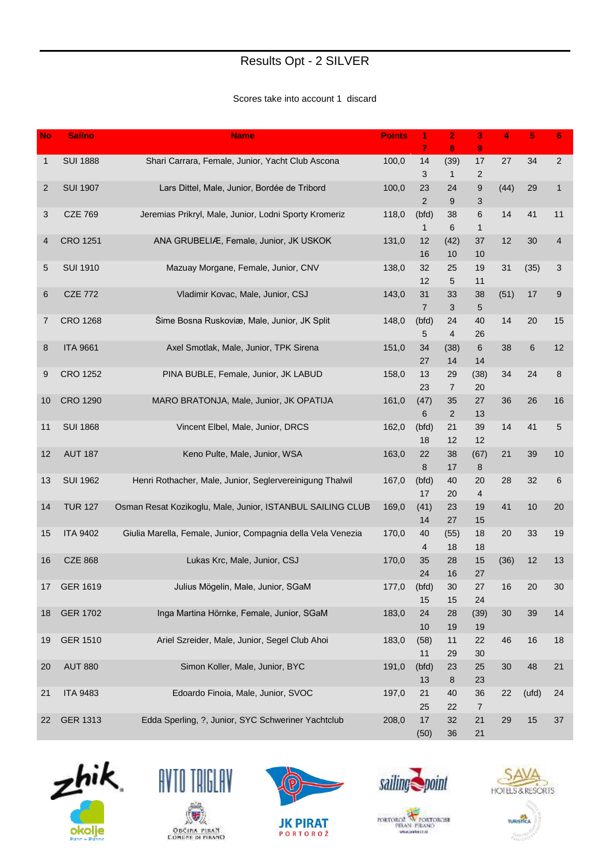### Results Opt - 2 SILVER

#### Scores take into account 1 discard

| <b>No</b>    | <b>Sailno</b>   | <b>Name</b>                                                  | <b>Points</b> | 1<br>7                | $\overline{2}$<br>8  | 3<br>9               | $\overline{4}$ | 5     | 6              |
|--------------|-----------------|--------------------------------------------------------------|---------------|-----------------------|----------------------|----------------------|----------------|-------|----------------|
| $\mathbf{1}$ | <b>SUI 1888</b> | Shari Carrara, Female, Junior, Yacht Club Ascona             | 100,0         | 14<br>3               | (39)<br>1            | 17<br>2              | 27             | 34    | $\overline{2}$ |
| 2            | <b>SUI 1907</b> | Lars Dittel, Male, Junior, Bordée de Tribord                 | 100,0         | 23<br>$\overline{2}$  | 24<br>9              | 9<br>3               | (44)           | 29    | 1              |
| 3            | <b>CZE 769</b>  | Jeremias Prikryl, Male, Junior, Lodni Sporty Kromeriz        | 118,0         | (bfd)<br>$\mathbf{1}$ | 38<br>6              | 6<br>$\mathbf{1}$    | 14             | 41    | 11             |
| 4            | <b>CRO 1251</b> | ANA GRUBELIÆ, Female, Junior, JK USKOK                       | 131,0         | 12<br>16              | (42)<br>10           | 37<br>10             | 12             | 30    | 4              |
| 5            | <b>SUI 1910</b> | Mazuay Morgane, Female, Junior, CNV                          | 138,0         | 32<br>12              | 25<br>5              | 19<br>11             | 31             | (35)  | 3              |
| 6            | <b>CZE 772</b>  | Vladimir Kovac, Male, Junior, CSJ                            | 143,0         | 31<br>$\overline{7}$  | 33<br>3              | 38<br>5              | (51)           | 17    | 9              |
| 7            | <b>CRO 1268</b> | Šime Bosna Ruskoviæ, Male, Junior, JK Split                  | 148,0         | (bfd)<br>5            | 24<br>$\overline{4}$ | 40<br>26             | 14             | 20    | 15             |
| 8            | <b>ITA 9661</b> | Axel Smotlak, Male, Junior, TPK Sirena                       | 151,0         | 34<br>27              | (38)<br>14           | 6<br>14              | 38             | 6     | 12             |
| 9            | <b>CRO 1252</b> | PINA BUBLE, Female, Junior, JK LABUD                         | 158,0         | 13<br>23              | 29<br>$\overline{7}$ | (38)<br>20           | 34             | 24    | 8              |
| 10           | <b>CRO 1290</b> | MARO BRATONJA, Male, Junior, JK OPATIJA                      | 161,0         | (47)<br>6             | 35<br>$\overline{2}$ | 27<br>13             | 36             | 26    | 16             |
| 11           | <b>SUI 1868</b> | Vincent Elbel, Male, Junior, DRCS                            | 162,0         | (bfd)<br>18           | 21<br>12             | 39<br>12             | 14             | 41    | 5              |
| 12           | <b>AUT 187</b>  | Keno Pulte, Male, Junior, WSA                                | 163,0         | 22<br>8               | 38<br>17             | (67)<br>8            | 21             | 39    | 10             |
| 13           | <b>SUI 1962</b> | Henri Rothacher, Male, Junior, Seglervereinigung Thalwil     | 167,0         | (bfd)<br>17           | 40<br>20             | 20<br>4              | 28             | 32    | 6              |
| 14           | <b>TUR 127</b>  | Osman Resat Kozikoglu, Male, Junior, ISTANBUL SAILING CLUB   | 169,0         | (41)<br>14            | 23<br>27             | 19<br>15             | 41             | 10    | 20             |
| 15           | <b>ITA 9402</b> | Giulia Marella, Female, Junior, Compagnia della Vela Venezia | 170,0         | 40<br>4               | (55)<br>18           | 18<br>18             | 20             | 33    | 19             |
| 16           | <b>CZE 868</b>  | Lukas Krc, Male, Junior, CSJ                                 | 170,0         | 35<br>24              | 28<br>16             | 15<br>27             | (36)           | 12    | 13             |
| 17           | <b>GER 1619</b> | Julius Mögelin, Male, Junior, SGaM                           | 177,0         | (bfd)<br>15           | 30<br>15             | 27<br>24             | 16             | 20    | 30             |
| 18           | <b>GER 1702</b> | Inga Martina Hörnke, Female, Junior, SGaM                    | 183,0         | 24<br>10              | 28<br>19             | (39)<br>19           | $30\,$         | 39    | 14             |
| 19           | <b>GER 1510</b> | Ariel Szreider, Male, Junior, Segel Club Ahoi                | 183,0         | (58)<br>11            | 11<br>29             | 22<br>$30\,$         | 46             | 16    | 18             |
| 20           | <b>AUT 880</b>  | Simon Koller, Male, Junior, BYC                              | 191,0         | (bfd)<br>13           | 23<br>8              | 25<br>23             | 30             | 48    | 21             |
| 21           | <b>ITA 9483</b> | Edoardo Finoia, Male, Junior, SVOC                           | 197,0         | 21<br>25              | 40<br>22             | 36<br>$\overline{7}$ | 22             | (ufd) | 24             |
| 22           | <b>GER 1313</b> | Edda Sperling, ?, Junior, SYC Schweriner Yachtclub           | 208,0         | 17<br>(50)            | 32<br>36             | 21<br>21             | 29             | 15    | 37             |











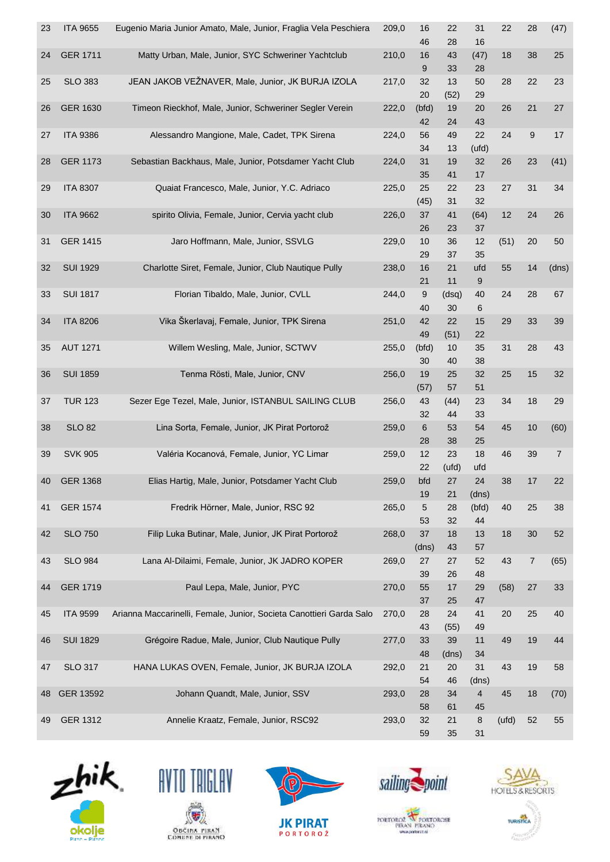| 23 | <b>ITA 9655</b> | Eugenio Maria Junior Amato, Male, Junior, Fraglia Vela Peschiera    | 209,0 | 16          | 22          | 31                   | 22    | 28 | (47)           |
|----|-----------------|---------------------------------------------------------------------|-------|-------------|-------------|----------------------|-------|----|----------------|
|    |                 |                                                                     |       | 46          | 28          | 16                   |       |    |                |
| 24 | <b>GER 1711</b> | Matty Urban, Male, Junior, SYC Schweriner Yachtclub                 | 210,0 | 16<br>9     | 43<br>33    | (47)<br>28           | 18    | 38 | 25             |
| 25 | <b>SLO 383</b>  | JEAN JAKOB VEŽNAVER, Male, Junior, JK BURJA IZOLA                   | 217,0 | 32<br>20    | 13<br>(52)  | 50<br>29             | 28    | 22 | 23             |
| 26 | <b>GER 1630</b> | Timeon Rieckhof, Male, Junior, Schweriner Segler Verein             | 222,0 | (bfd)<br>42 | 19<br>24    | 20<br>43             | 26    | 21 | 27             |
| 27 | <b>ITA 9386</b> | Alessandro Mangione, Male, Cadet, TPK Sirena                        | 224,0 | 56<br>34    | 49<br>13    | 22<br>(ufd)          | 24    | 9  | 17             |
| 28 | <b>GER 1173</b> | Sebastian Backhaus, Male, Junior, Potsdamer Yacht Club              | 224,0 | 31<br>35    | 19<br>41    | 32<br>17             | 26    | 23 | (41)           |
| 29 | <b>ITA 8307</b> | Quaiat Francesco, Male, Junior, Y.C. Adriaco                        | 225,0 | 25<br>(45)  | 22<br>31    | 23<br>32             | 27    | 31 | 34             |
| 30 | <b>ITA 9662</b> | spirito Olivia, Female, Junior, Cervia yacht club                   | 226,0 | 37<br>26    | 41<br>23    | (64)<br>37           | 12    | 24 | 26             |
| 31 | <b>GER 1415</b> | Jaro Hoffmann, Male, Junior, SSVLG                                  | 229,0 | 10<br>29    | 36<br>37    | 12<br>35             | (51)  | 20 | 50             |
| 32 | <b>SUI 1929</b> | Charlotte Siret, Female, Junior, Club Nautique Pully                | 238,0 | 16<br>21    | 21<br>11    | ufd<br>9             | 55    | 14 | (dns)          |
| 33 | <b>SUI 1817</b> | Florian Tibaldo, Male, Junior, CVLL                                 | 244,0 | 9<br>40     | (dsq)<br>30 | 40<br>6              | 24    | 28 | 67             |
| 34 | <b>ITA 8206</b> | Vika Škerlavaj, Female, Junior, TPK Sirena                          | 251,0 | 42<br>49    | 22<br>(51)  | 15<br>22             | 29    | 33 | 39             |
| 35 | <b>AUT 1271</b> | Willem Wesling, Male, Junior, SCTWV                                 | 255,0 | (bfd)<br>30 | 10<br>40    | 35<br>38             | 31    | 28 | 43             |
| 36 | <b>SUI 1859</b> | Tenma Rösti, Male, Junior, CNV                                      | 256,0 | 19<br>(57)  | 25<br>57    | 32<br>51             | 25    | 15 | 32             |
| 37 | <b>TUR 123</b>  | Sezer Ege Tezel, Male, Junior, ISTANBUL SAILING CLUB                | 256,0 | 43<br>32    | (44)<br>44  | 23<br>33             | 34    | 18 | 29             |
| 38 | <b>SLO 82</b>   | Lina Sorta, Female, Junior, JK Pirat Portorož                       | 259,0 | 6<br>28     | 53<br>38    | 54<br>25             | 45    | 10 | (60)           |
| 39 | <b>SVK 905</b>  | Valéria Kocanová, Female, Junior, YC Limar                          | 259,0 | 12<br>22    | 23<br>(ufd) | 18<br>ufd            | 46    | 39 | $\overline{7}$ |
| 40 | <b>GER 1368</b> | Elias Hartig, Male, Junior, Potsdamer Yacht Club                    | 259,0 | bfd<br>19   | 27<br>21    | 24<br>(dns)          | 38    | 17 | 22             |
| 41 | <b>GER 1574</b> | Fredrik Hörner, Male, Junior, RSC 92                                | 265,0 | 5<br>53     | 28<br>32    | (bfd)<br>44          | 40    | 25 | 38             |
| 42 | <b>SLO 750</b>  | Filip Luka Butinar, Male, Junior, JK Pirat Portorož                 | 268,0 | 37<br>(dns) | 18<br>43    | 13<br>57             | 18    | 30 | 52             |
| 43 | <b>SLO 984</b>  | Lana Al-Dilaimi, Female, Junior, JK JADRO KOPER                     | 269,0 | 27<br>39    | 27<br>26    | 52<br>48             | 43    | 7  | (65)           |
| 44 | <b>GER 1719</b> | Paul Lepa, Male, Junior, PYC                                        | 270,0 | 55<br>37    | 17<br>25    | 29<br>47             | (58)  | 27 | 33             |
| 45 | <b>ITA 9599</b> | Arianna Maccarinelli, Female, Junior, Societa Canottieri Garda Salo | 270,0 | 28<br>43    | 24<br>(55)  | 41<br>49             | 20    | 25 | 40             |
| 46 | <b>SUI 1829</b> | Grégoire Radue, Male, Junior, Club Nautique Pully                   | 277,0 | 33<br>48    | 39<br>(dns) | 11<br>34             | 49    | 19 | 44             |
| 47 | <b>SLO 317</b>  | HANA LUKAS OVEN, Female, Junior, JK BURJA IZOLA                     | 292,0 | 21<br>54    | 20<br>46    | 31<br>(dns)          | 43    | 19 | 58             |
| 48 | GER 13592       | Johann Quandt, Male, Junior, SSV                                    | 293,0 | 28<br>58    | 34<br>61    | $\overline{4}$<br>45 | 45    | 18 | (70)           |
| 49 | <b>GER 1312</b> | Annelie Kraatz, Female, Junior, RSC92                               | 293,0 | 32<br>59    | 21<br>35    | $\bf 8$<br>31        | (ufd) | 52 | 55             |











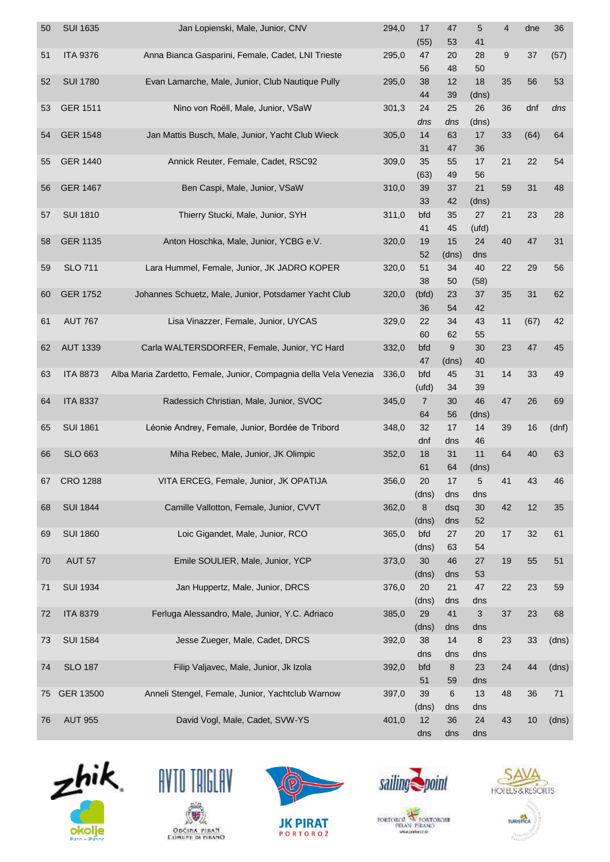| 50 | <b>SUI 1635</b> | Jan Lopienski, Male, Junior, CNV                                  | 294,0 | 17<br>(55)            | 47<br>53        | 5<br>41           | $\overline{4}$ | dne  | 36    |
|----|-----------------|-------------------------------------------------------------------|-------|-----------------------|-----------------|-------------------|----------------|------|-------|
| 51 | <b>ITA 9376</b> | Anna Bianca Gasparini, Female, Cadet, LNI Trieste                 | 295,0 | 47<br>56              | 20<br>48        | 28<br>50          | $9\,$          | 37   | (57)  |
| 52 | <b>SUI 1780</b> | Evan Lamarche, Male, Junior, Club Nautique Pully                  | 295,0 | 38<br>44              | 12<br>39        | 18<br>(dns)       | 35             | 56   | 53    |
| 53 | <b>GER 1511</b> | Nino von Roëll, Male, Junior, VSaW                                | 301,3 | 24<br>dns             | 25<br>dns       | 26<br>(dns)       | 36             | dnf  | dns   |
| 54 | <b>GER 1548</b> | Jan Mattis Busch, Male, Junior, Yacht Club Wieck                  | 305,0 | 14<br>31              | 63<br>47        | 17<br>36          | 33             | (64) | 64    |
| 55 | <b>GER 1440</b> | Annick Reuter, Female, Cadet, RSC92                               | 309,0 | 35<br>(63)            | 55<br>49        | 17<br>56          | 21             | 22   | 54    |
| 56 | <b>GER 1467</b> | Ben Caspi, Male, Junior, VSaW                                     | 310,0 | 39<br>33              | 37<br>42        | 21<br>(dns)       | 59             | 31   | 48    |
| 57 | <b>SUI 1810</b> | Thierry Stucki, Male, Junior, SYH                                 | 311,0 | bfd<br>41             | 35<br>45        | 27<br>(ufd)       | 21             | 23   | 28    |
| 58 | <b>GER 1135</b> | Anton Hoschka, Male, Junior, YCBG e.V.                            | 320,0 | 19<br>52              | 15<br>(dns)     | 24<br>dns         | 40             | 47   | 31    |
| 59 | <b>SLO 711</b>  | Lara Hummel, Female, Junior, JK JADRO KOPER                       | 320,0 | 51<br>38              | 34<br>50        | 40<br>(58)        | 22             | 29   | 56    |
| 60 | <b>GER 1752</b> | Johannes Schuetz, Male, Junior, Potsdamer Yacht Club              | 320,0 | (bfd)<br>36           | 23<br>54        | 37<br>42          | 35             | 31   | 62    |
| 61 | <b>AUT 767</b>  | Lisa Vinazzer, Female, Junior, UYCAS                              | 329,0 | 22<br>60              | 34<br>62        | 43<br>55          | 11             | (67) | 42    |
| 62 | <b>AUT 1339</b> | Carla WALTERSDORFER, Female, Junior, YC Hard                      | 332,0 | bfd<br>47             | 9<br>(dns)      | 30<br>40          | 23             | 47   | 45    |
| 63 | <b>ITA 8873</b> | Alba Maria Zardetto, Female, Junior, Compagnia della Vela Venezia | 336,0 | bfd<br>(ufd)          | 45<br>34        | 31<br>39          | 14             | 33   | 49    |
| 64 | <b>ITA 8337</b> | Radessich Christian, Male, Junior, SVOC                           | 345,0 | $\overline{7}$<br>64  | 30<br>56        | 46                | 47             | 26   | 69    |
| 65 | <b>SUI 1861</b> | Léonie Andrey, Female, Junior, Bordée de Tribord                  | 348,0 | 32<br>dnf             | 17              | (dns)<br>14<br>46 | 39             | 16   | (dnf) |
| 66 | <b>SLO 663</b>  | Miha Rebec, Male, Junior, JK Olimpic                              | 352,0 | 18                    | dns<br>31       | 11                | 64             | 40   | 63    |
| 67 | <b>CRO 1288</b> | VITA ERCEG, Female, Junior, JK OPATIJA                            | 356,0 | 61<br>20<br>(dns)     | 64<br>17<br>dns | (dns)<br>5<br>dns | 41             | 43   | 46    |
| 68 | <b>SUI 1844</b> | Camille Vallotton, Female, Junior, CVVT                           | 362,0 | 8                     | dsq             | $30\,$<br>52      | 42             | 12   | 35    |
| 69 | <b>SUI 1860</b> | Loic Gigandet, Male, Junior, RCO                                  | 365,0 | (dns)<br>bfd<br>(dns) | dns<br>27<br>63 | 20<br>54          | $17$           | 32   | 61    |
| 70 | <b>AUT 57</b>   | Emile SOULIER, Male, Junior, YCP                                  | 373,0 | 30<br>(dns)           | 46<br>dns       | 27<br>53          | 19             | 55   | 51    |
| 71 | <b>SUI 1934</b> | Jan Huppertz, Male, Junior, DRCS                                  | 376,0 | 20<br>(dns)           | 21<br>dns       | 47<br>dns         | 22             | 23   | 59    |
| 72 | <b>ITA 8379</b> | Ferluga Alessandro, Male, Junior, Y.C. Adriaco                    | 385,0 | 29<br>(dns)           | 41<br>dns       | 3<br>dns          | 37             | 23   | 68    |
| 73 | <b>SUI 1584</b> | Jesse Zueger, Male, Cadet, DRCS                                   | 392,0 | 38<br>dns             | 14<br>dns       | 8<br>dns          | 23             | 33   | (dns) |
| 74 | <b>SLO 187</b>  | Filip Valjavec, Male, Junior, Jk Izola                            | 392,0 | bfd<br>51             | 8<br>59         | 23<br>dns         | 24             | 44   | (dns) |
| 75 | GER 13500       | Anneli Stengel, Female, Junior, Yachtclub Warnow                  | 397,0 | 39<br>(dns)           | 6<br>dns        | 13<br>dns         | 48             | 36   | $71$  |
| 76 | <b>AUT 955</b>  | David Vogl, Male, Cadet, SVW-YS                                   | 401,0 | 12<br>dns             | 36<br>dns       | 24<br>dns         | 43             | 10   | (dns) |











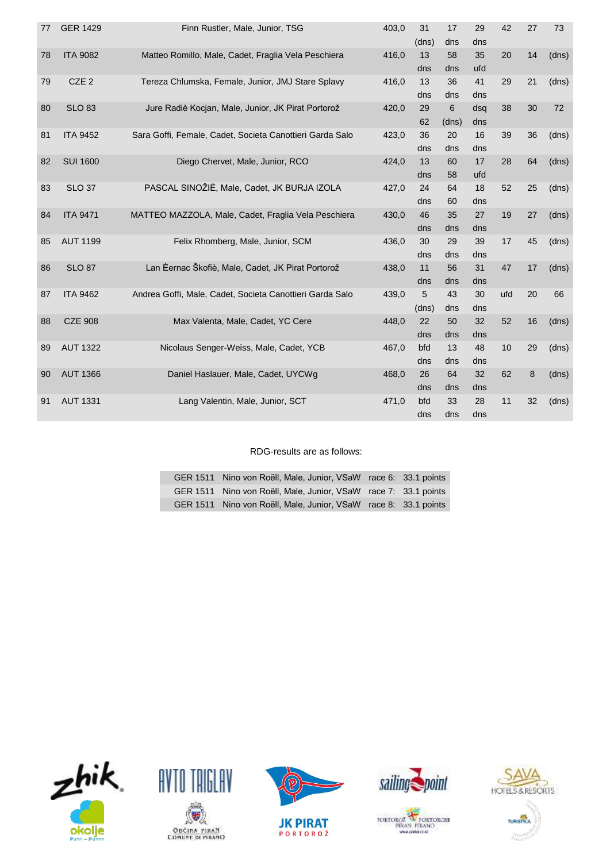| 77 | <b>GER 1429</b>  | Finn Rustler, Male, Junior, TSG                          | 403,0 | 31<br>(dns) | 17<br>dns  | 29<br>dns  | 42  | 27 | 73    |
|----|------------------|----------------------------------------------------------|-------|-------------|------------|------------|-----|----|-------|
| 78 | <b>ITA 9082</b>  | Matteo Romillo, Male, Cadet, Fraglia Vela Peschiera      | 416,0 | 13<br>dns   | 58<br>dns  | 35<br>ufd  | 20  | 14 | (dns) |
| 79 | CZE <sub>2</sub> | Tereza Chlumska, Female, Junior, JMJ Stare Splavy        | 416,0 | 13<br>dns   | 36<br>dns  | 41<br>dns  | 29  | 21 | (dns) |
| 80 | <b>SLO 83</b>    | Jure Radiè Kocjan, Male, Junior, JK Pirat Portorož       | 420,0 | 29<br>62    | 6<br>(dns) | dsq<br>dns | 38  | 30 | 72    |
| 81 | <b>ITA 9452</b>  | Sara Goffi, Female, Cadet, Societa Canottieri Garda Salo | 423,0 | 36<br>dns   | 20<br>dns  | 16<br>dns  | 39  | 36 | (dns) |
| 82 | <b>SUI 1600</b>  | Diego Chervet, Male, Junior, RCO                         | 424,0 | 13<br>dns   | 60<br>58   | 17<br>ufd  | 28  | 64 | (dns) |
| 83 | <b>SLO 37</b>    | PASCAL SINOŽIÈ, Male, Cadet, JK BURJA IZOLA              | 427,0 | 24<br>dns   | 64<br>60   | 18<br>dns  | 52  | 25 | (dns) |
| 84 | <b>ITA 9471</b>  | MATTEO MAZZOLA, Male, Cadet, Fraglia Vela Peschiera      | 430,0 | 46<br>dns   | 35<br>dns  | 27<br>dns  | 19  | 27 | (dns) |
| 85 | <b>AUT 1199</b>  | Felix Rhomberg, Male, Junior, SCM                        | 436,0 | 30<br>dns   | 29<br>dns  | 39<br>dns  | 17  | 45 | (dns) |
| 86 | <b>SLO 87</b>    | Lan Èernac Škofiè, Male, Cadet, JK Pirat Portorož        | 438,0 | 11<br>dns   | 56<br>dns  | 31<br>dns  | 47  | 17 | (dns) |
| 87 | <b>ITA 9462</b>  | Andrea Goffi, Male, Cadet, Societa Canottieri Garda Salo | 439,0 | 5<br>(dns)  | 43<br>dns  | 30<br>dns  | ufd | 20 | 66    |
| 88 | <b>CZE 908</b>   | Max Valenta, Male, Cadet, YC Cere                        | 448,0 | 22<br>dns   | 50<br>dns  | 32<br>dns  | 52  | 16 | (dns) |
| 89 | <b>AUT 1322</b>  | Nicolaus Senger-Weiss, Male, Cadet, YCB                  | 467,0 | bfd<br>dns  | 13<br>dns  | 48<br>dns  | 10  | 29 | (dns) |
| 90 | <b>AUT 1366</b>  | Daniel Haslauer, Male, Cadet, UYCWg                      | 468,0 | 26<br>dns   | 64<br>dns  | 32<br>dns  | 62  | 8  | (dns) |
| 91 | <b>AUT 1331</b>  | Lang Valentin, Male, Junior, SCT                         | 471,0 | bfd<br>dns  | 33<br>dns  | 28<br>dns  | 11  | 32 | (dns) |

#### RDG-results are as follows:

|  | GER 1511 Nino von Roëll, Male, Junior, VSaW race 6: 33.1 points |  |
|--|-----------------------------------------------------------------|--|
|  | GER 1511 Nino von Roëll, Male, Junior, VSaW race 7: 33.1 points |  |
|  | GER 1511 Nino von Roëll, Male, Junior, VSaW race 8: 33.1 points |  |













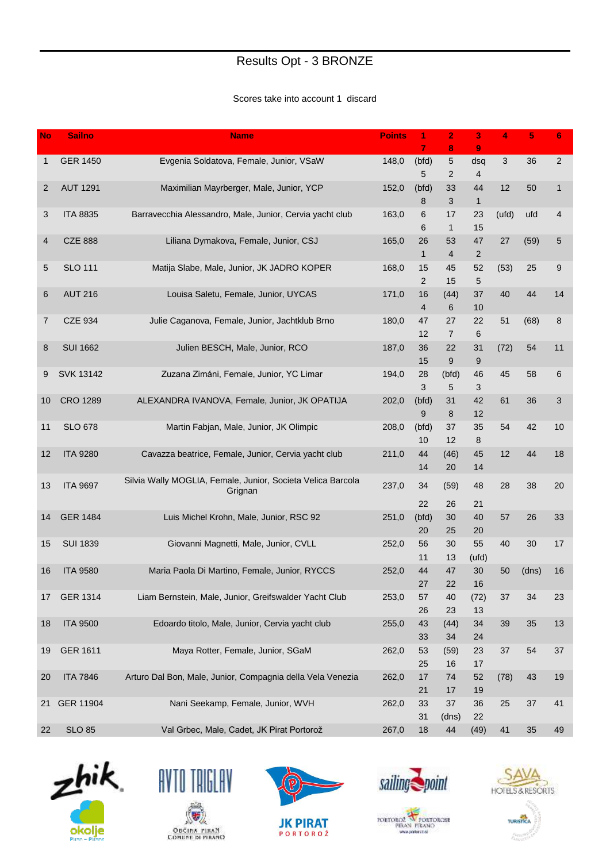### Results Opt - 3 BRONZE

#### Scores take into account 1 discard

| <b>No</b>    | <b>Sailno</b>    | <b>Name</b>                                                            | <b>Points</b> | 1<br>7      | $\overline{2}$     | 3                    | 4     | 5     | 6            |
|--------------|------------------|------------------------------------------------------------------------|---------------|-------------|--------------------|----------------------|-------|-------|--------------|
| $\mathbf{1}$ | <b>GER 1450</b>  | Evgenia Soldatova, Female, Junior, VSaW                                | 148,0         | (bfd)       | 8<br>5             | 9<br>dsq             | 3     | 36    | $\sqrt{2}$   |
|              |                  |                                                                        |               | 5           | 2                  | $\overline{4}$       |       |       |              |
| 2            | <b>AUT 1291</b>  | Maximilian Mayrberger, Male, Junior, YCP                               | 152,0         | (bfd)<br>8  | 33<br>3            | 44<br>$\mathbf{1}$   | 12    | 50    | $\mathbf{1}$ |
| 3            | <b>ITA 8835</b>  | Barravecchia Alessandro, Male, Junior, Cervia yacht club               | 163,0         | 6<br>6      | 17<br>$\mathbf{1}$ | 23<br>15             | (ufd) | ufd   | 4            |
| 4            | <b>CZE 888</b>   | Liliana Dymakova, Female, Junior, CSJ                                  | 165,0         | 26<br>1     | 53<br>4            | 47<br>$\overline{2}$ | 27    | (59)  | 5            |
| 5            | <b>SLO 111</b>   | Matija Slabe, Male, Junior, JK JADRO KOPER                             | 168,0         | 15<br>2     | 45<br>15           | 52<br>5              | (53)  | 25    | 9            |
| 6            | <b>AUT 216</b>   | Louisa Saletu, Female, Junior, UYCAS                                   | 171,0         | 16<br>4     | (44)<br>6          | 37<br>10             | 40    | 44    | 14           |
| 7            | <b>CZE 934</b>   | Julie Caganova, Female, Junior, Jachtklub Brno                         | 180,0         | 47          | 27                 | 22                   | 51    | (68)  | 8            |
|              |                  |                                                                        |               | 12          | 7                  | 6                    |       |       |              |
| 8            | <b>SUI 1662</b>  | Julien BESCH, Male, Junior, RCO                                        | 187,0         | 36<br>15    | 22<br>9            | 31<br>9              | (72)  | 54    | 11           |
| 9            | <b>SVK 13142</b> | Zuzana Zimáni, Female, Junior, YC Limar                                | 194,0         | 28<br>3     | (bfd)<br>5         | 46<br>3              | 45    | 58    | 6            |
| 10           | <b>CRO 1289</b>  | ALEXANDRA IVANOVA, Female, Junior, JK OPATIJA                          | 202,0         | (bfd)<br>9  | 31<br>8            | 42<br>12             | 61    | 36    | 3            |
| 11           | <b>SLO 678</b>   | Martin Fabjan, Male, Junior, JK Olimpic                                | 208,0         | (bfd)<br>10 | 37<br>12           | 35<br>8              | 54    | 42    | 10           |
| 12           | <b>ITA 9280</b>  | Cavazza beatrice, Female, Junior, Cervia yacht club                    | 211,0         | 44<br>14    | (46)<br>20         | 45<br>14             | 12    | 44    | 18           |
| 13           | <b>ITA 9697</b>  | Silvia Wally MOGLIA, Female, Junior, Societa Velica Barcola<br>Grignan | 237,0         | 34<br>22    | (59)<br>26         | 48<br>21             | 28    | 38    | 20           |
| 14           | <b>GER 1484</b>  | Luis Michel Krohn, Male, Junior, RSC 92                                | 251,0         | (bfd)<br>20 | 30<br>25           | 40<br>20             | 57    | 26    | 33           |
| 15           | <b>SUI 1839</b>  | Giovanni Magnetti, Male, Junior, CVLL                                  | 252,0         | 56<br>11    | 30<br>13           | 55<br>(ufd)          | 40    | 30    | 17           |
| 16           | <b>ITA 9580</b>  | Maria Paola Di Martino, Female, Junior, RYCCS                          | 252,0         | 44<br>27    | 47<br>22           | 30<br>16             | 50    | (dns) | 16           |
| 17           | <b>GER 1314</b>  | Liam Bernstein, Male, Junior, Greifswalder Yacht Club                  | 253,0         | 57<br>26    | 40<br>23           | (72)<br>13           | 37    | 34    | 23           |
| 18           | <b>ITA 9500</b>  | Edoardo titolo, Male, Junior, Cervia yacht club                        | 255,0         | 43<br>33    | (44)<br>34         | 34<br>24             | 39    | 35    | 13           |
| 19           | <b>GER 1611</b>  | Maya Rotter, Female, Junior, SGaM                                      | 262,0         | 53<br>25    | (59)<br>16         | 23<br>17             | 37    | 54    | 37           |
| 20           | <b>ITA 7846</b>  | Arturo Dal Bon, Male, Junior, Compagnia della Vela Venezia             | 262,0         | 17<br>21    | 74<br>17           | 52<br>19             | (78)  | 43    | 19           |
| 21           | <b>GER 11904</b> | Nani Seekamp, Female, Junior, WVH                                      | 262,0         | 33          | 37                 | 36<br>22             | 25    | 37    | 41           |
| 22           | <b>SLO 85</b>    | Val Grbec, Male, Cadet, JK Pirat Portorož                              | 267,0         | 31<br>18    | (dns)<br>44        | (49)                 | 41    | 35    | 49           |











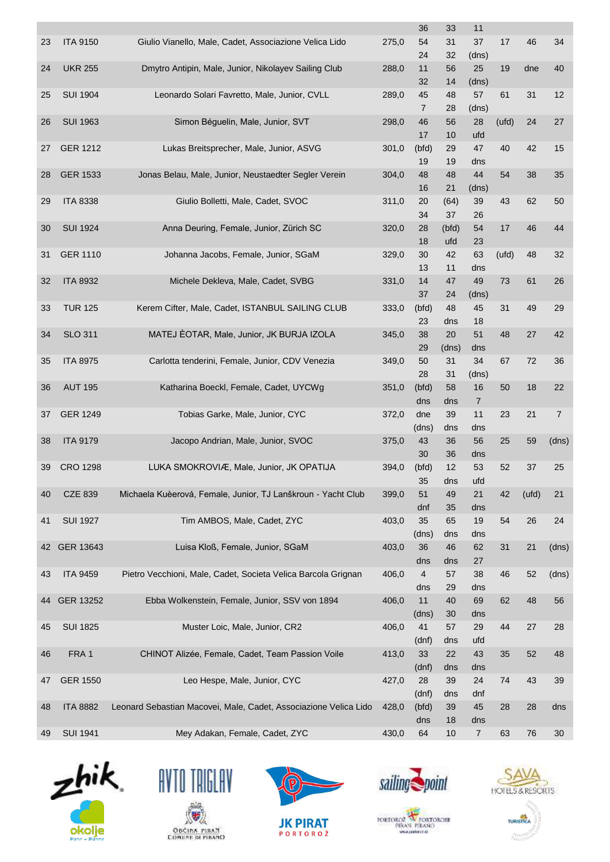|    |                 |                                                                  |       | 36          | 33        | 11             |       |       |        |
|----|-----------------|------------------------------------------------------------------|-------|-------------|-----------|----------------|-------|-------|--------|
| 23 | <b>ITA 9150</b> | Giulio Vianello, Male, Cadet, Associazione Velica Lido           | 275,0 | 54          | 31        | 37             | 17    | 46    | 34     |
|    |                 |                                                                  |       | 24          | 32        | (dns)          |       |       |        |
| 24 | <b>UKR 255</b>  | Dmytro Antipin, Male, Junior, Nikolayev Sailing Club             | 288,0 | 11          | 56        | 25             | 19    | dne   | 40     |
|    |                 |                                                                  |       | 32          | 14        | (dns)          |       |       |        |
| 25 | <b>SUI 1904</b> | Leonardo Solari Favretto, Male, Junior, CVLL                     | 289,0 | 45          | 48        | 57             | 61    | 31    | 12     |
|    |                 |                                                                  |       | 7           | 28        | (dns)          |       |       |        |
| 26 | <b>SUI 1963</b> | Simon Béguelin, Male, Junior, SVT                                | 298,0 | 46          | 56        | 28             | (ufd) | 24    | 27     |
|    |                 |                                                                  |       | 17          | 10        | ufd            |       |       |        |
| 27 | <b>GER 1212</b> | Lukas Breitsprecher, Male, Junior, ASVG                          | 301,0 | (bfd)       | 29        | 47             | 40    | 42    | 15     |
|    |                 |                                                                  |       | 19          | 19        | dns            |       |       |        |
| 28 | <b>GER 1533</b> |                                                                  | 304,0 | 48          | 48        | 44             | 54    | 38    | 35     |
|    |                 | Jonas Belau, Male, Junior, Neustaedter Segler Verein             |       | 16          | 21        |                |       |       |        |
|    |                 | Giulio Bolletti, Male, Cadet, SVOC                               |       |             |           | (dns)          | 43    |       |        |
| 29 | <b>ITA 8338</b> |                                                                  | 311,0 | 20          | (64)      | 39             |       | 62    | 50     |
|    |                 |                                                                  |       | 34          | 37        | 26             |       |       |        |
| 30 | <b>SUI 1924</b> | Anna Deuring, Female, Junior, Zürich SC                          | 320,0 | 28          | (bfd)     | 54             | 17    | 46    | 44     |
|    |                 |                                                                  |       | 18          | ufd       | 23             |       |       |        |
| 31 | <b>GER 1110</b> | Johanna Jacobs, Female, Junior, SGaM                             | 329,0 | 30          | 42        | 63             | (ufd) | 48    | 32     |
|    |                 |                                                                  |       | 13          | 11        | dns            |       |       |        |
| 32 | <b>ITA 8932</b> | Michele Dekleva, Male, Cadet, SVBG                               | 331,0 | 14          | 47        | 49             | 73    | 61    | 26     |
|    |                 |                                                                  |       | 37          | 24        | (dns)          |       |       |        |
| 33 | <b>TUR 125</b>  | Kerem Cifter, Male, Cadet, ISTANBUL SAILING CLUB                 | 333,0 | (bfd)       | 48        | 45             | 31    | 49    | 29     |
|    |                 |                                                                  |       | 23          | dns       | 18             |       |       |        |
| 34 | <b>SLO 311</b>  | MATEJ ÈOTAR, Male, Junior, JK BURJA IZOLA                        | 345,0 | 38          | 20        | 51             | 48    | 27    | 42     |
|    |                 |                                                                  |       | 29          | (dns)     | dns            |       |       |        |
| 35 | <b>ITA 8975</b> | Carlotta tenderini, Female, Junior, CDV Venezia                  | 349,0 | 50          | 31        | 34             | 67    | 72    | 36     |
|    |                 |                                                                  |       | 28          | 31        | (dns)          |       |       |        |
| 36 | <b>AUT 195</b>  | Katharina Boeckl, Female, Cadet, UYCWg                           | 351,0 | (bfd)       | 58        | 16             | 50    | 18    | 22     |
|    |                 |                                                                  |       | dns         | dns       | $\overline{7}$ |       |       |        |
| 37 | <b>GER 1249</b> | Tobias Garke, Male, Junior, CYC                                  | 372,0 | dne         | 39        | 11             | 23    | 21    | 7      |
|    |                 |                                                                  |       | (dns)       | dns       | dns            |       |       |        |
| 38 | <b>ITA 9179</b> | Jacopo Andrian, Male, Junior, SVOC                               | 375,0 | 43          | 36        | 56             | 25    | 59    | (dns)  |
|    |                 |                                                                  |       | 30          | 36        | dns            |       |       |        |
| 39 | <b>CRO 1298</b> | LUKA SMOKROVIÆ, Male, Junior, JK OPATIJA                         | 394,0 | (bfd)       | 12        | 53             | 52    | 37    | 25     |
|    |                 |                                                                  |       | 35          | dns       | ufd            |       |       |        |
| 40 | <b>CZE 839</b>  | Michaela Kuèerová, Female, Junior, TJ Lanškroun - Yacht Club     | 399,0 | 51          | 49        | 21             | 42    | (ufd) | 21     |
|    |                 |                                                                  |       | dnf         | 35        | dns            |       |       |        |
| 41 | <b>SUI 1927</b> | Tim AMBOS, Male, Cadet, ZYC                                      | 403,0 | 35          | 65        | 19             | 54    | 26    | 24     |
|    |                 |                                                                  |       | (dns)       | dns       | dns            |       |       |        |
| 42 | GER 13643       | Luisa Kloß, Female, Junior, SGaM                                 | 403,0 | 36          | 46        | 62             | 31    | 21    | (dns)  |
|    |                 |                                                                  |       | dns         | dns       | 27             |       |       |        |
| 43 | <b>ITA 9459</b> | Pietro Vecchioni, Male, Cadet, Societa Velica Barcola Grignan    | 406,0 | 4           | 57        | 38             | 46    | 52    | (dns)  |
|    |                 |                                                                  |       | dns         | 29        | dns            |       |       |        |
| 44 | GER 13252       | Ebba Wolkenstein, Female, Junior, SSV von 1894                   | 406,0 | 11          | 40        | 69             | 62    | 48    | 56     |
|    |                 |                                                                  |       | (dns)       | 30        | dns            |       |       |        |
| 45 | <b>SUI 1825</b> | Muster Loic, Male, Junior, CR2                                   | 406,0 | 41          | 57        | 29             | 44    | 27    | 28     |
|    |                 |                                                                  |       | (dnf)       | dns       | ufd            |       |       |        |
| 46 | FRA 1           | CHINOT Alizée, Female, Cadet, Team Passion Voile                 | 413,0 | 33          | 22        | 43             | 35    | 52    | 48     |
|    |                 |                                                                  |       |             |           |                |       |       |        |
|    | <b>GER 1550</b> | Leo Hespe, Male, Junior, CYC                                     | 427,0 | (dnf)<br>28 | dns<br>39 | dns<br>24      | 74    |       | 39     |
| 47 |                 |                                                                  |       |             |           |                |       | 43    |        |
|    |                 |                                                                  |       | (dnf)       | dns       | dnf            |       |       |        |
| 48 | <b>ITA 8882</b> | Leonard Sebastian Macovei, Male, Cadet, Associazione Velica Lido | 428,0 | (bfd)       | 39        | 45             | 28    | 28    | dns    |
|    |                 |                                                                  |       | dns         | 18        | dns            |       |       |        |
| 49 | <b>SUI 1941</b> | Mey Adakan, Female, Cadet, ZYC                                   | 430,0 | 64          | $10$      | $\overline{7}$ | 63    | 76    | $30\,$ |











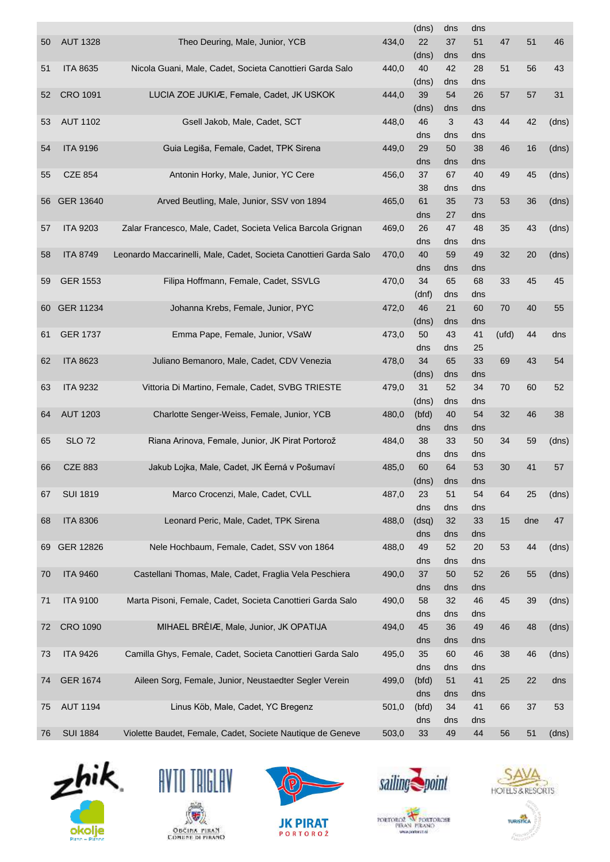|    |                 |                                                                   |       | (dns) | dns | dns |       |     |       |
|----|-----------------|-------------------------------------------------------------------|-------|-------|-----|-----|-------|-----|-------|
| 50 | <b>AUT 1328</b> | Theo Deuring, Male, Junior, YCB                                   | 434,0 | 22    | 37  | 51  | 47    | 51  | 46    |
|    |                 |                                                                   |       | (dns) | dns | dns |       |     |       |
| 51 | <b>ITA 8635</b> | Nicola Guani, Male, Cadet, Societa Canottieri Garda Salo          | 440,0 | 40    | 42  | 28  | 51    | 56  | 43    |
|    |                 |                                                                   |       | (dns) | dns | dns |       |     |       |
| 52 | <b>CRO 1091</b> | LUCIA ZOE JUKIÆ, Female, Cadet, JK USKOK                          | 444,0 | 39    | 54  | 26  | 57    | 57  | 31    |
|    |                 |                                                                   |       | (dns) | dns | dns |       |     |       |
| 53 | <b>AUT 1102</b> | Gsell Jakob, Male, Cadet, SCT                                     | 448,0 | 46    | 3   | 43  | 44    | 42  | (dns) |
|    |                 |                                                                   |       | dns   | dns | dns |       |     |       |
| 54 | <b>ITA 9196</b> | Guia Legiša, Female, Cadet, TPK Sirena                            | 449,0 | 29    | 50  | 38  | 46    | 16  | (dns) |
|    |                 |                                                                   |       | dns   | dns | dns |       |     |       |
| 55 | <b>CZE 854</b>  | Antonin Horky, Male, Junior, YC Cere                              | 456,0 | 37    | 67  | 40  | 49    | 45  | (dns) |
|    |                 |                                                                   |       | 38    | dns | dns |       |     |       |
| 56 | GER 13640       | Arved Beutling, Male, Junior, SSV von 1894                        | 465,0 | 61    | 35  | 73  | 53    | 36  | (dns) |
|    |                 |                                                                   |       | dns   | 27  | dns |       |     |       |
| 57 | <b>ITA 9203</b> | Zalar Francesco, Male, Cadet, Societa Velica Barcola Grignan      | 469,0 | 26    | 47  | 48  | 35    | 43  | (dns) |
|    |                 |                                                                   |       | dns   | dns | dns |       |     |       |
| 58 | <b>ITA 8749</b> | Leonardo Maccarinelli, Male, Cadet, Societa Canottieri Garda Salo | 470,0 | 40    | 59  | 49  | 32    | 20  | (dns) |
|    |                 |                                                                   |       | dns   | dns | dns |       |     |       |
| 59 | <b>GER 1553</b> | Filipa Hoffmann, Female, Cadet, SSVLG                             | 470,0 | 34    | 65  | 68  | 33    | 45  | 45    |
|    |                 |                                                                   |       | (dnf) | dns | dns |       |     |       |
| 60 | GER 11234       | Johanna Krebs, Female, Junior, PYC                                | 472,0 | 46    | 21  | 60  | 70    | 40  | 55    |
|    |                 |                                                                   |       | (dns) | dns | dns |       |     |       |
| 61 | <b>GER 1737</b> | Emma Pape, Female, Junior, VSaW                                   | 473,0 | 50    | 43  | 41  | (ufd) | 44  | dns   |
|    |                 |                                                                   |       | dns   | dns | 25  |       |     |       |
| 62 | <b>ITA 8623</b> | Juliano Bemanoro, Male, Cadet, CDV Venezia                        | 478,0 | 34    | 65  | 33  | 69    | 43  | 54    |
|    |                 |                                                                   |       | (dns) | dns | dns |       |     |       |
| 63 | <b>ITA 9232</b> | Vittoria Di Martino, Female, Cadet, SVBG TRIESTE                  | 479,0 | 31    | 52  | 34  | 70    | 60  | 52    |
|    |                 |                                                                   |       | (dns) | dns | dns |       |     |       |
| 64 | <b>AUT 1203</b> | Charlotte Senger-Weiss, Female, Junior, YCB                       | 480,0 | (bfd) | 40  | 54  | 32    | 46  | 38    |
|    |                 |                                                                   |       | dns   | dns | dns |       |     |       |
| 65 | <b>SLO 72</b>   | Riana Arinova, Female, Junior, JK Pirat Portorož                  |       | 38    | 33  | 50  | 34    | 59  |       |
|    |                 |                                                                   | 484,0 |       |     |     |       |     | (dns) |
|    |                 |                                                                   |       | dns   | dns | dns |       |     |       |
| 66 | <b>CZE 883</b>  | Jakub Lojka, Male, Cadet, JK Eerná v Pošumaví                     | 485,0 | 60    | 64  | 53  | 30    | 41  | 57    |
|    |                 |                                                                   |       | (dns) | dns | dns |       |     |       |
| 67 | <b>SUI 1819</b> | Marco Crocenzi, Male, Cadet, CVLL                                 | 487,0 | 23    | 51  | 54  | 64    | 25  | (dns) |
|    |                 |                                                                   |       | dns   | dns | dns |       |     |       |
| 68 | <b>ITA 8306</b> | Leonard Peric, Male, Cadet, TPK Sirena                            | 488,0 | (dsq) | 32  | 33  | 15    | dne | 47    |
|    |                 |                                                                   |       | dns   | dns | dns |       |     |       |
| 69 | GER 12826       | Nele Hochbaum, Female, Cadet, SSV von 1864                        | 488,0 | 49    | 52  | 20  | 53    | 44  | (dns) |
|    |                 |                                                                   |       | dns   | dns | dns |       |     |       |
| 70 | <b>ITA 9460</b> | Castellani Thomas, Male, Cadet, Fraglia Vela Peschiera            | 490,0 | 37    | 50  | 52  | 26    | 55  | (dns) |
|    |                 |                                                                   |       | dns   | dns | dns |       |     |       |
| 71 | <b>ITA 9100</b> | Marta Pisoni, Female, Cadet, Societa Canottieri Garda Salo        | 490,0 | 58    | 32  | 46  | 45    | 39  | (dns) |
|    |                 |                                                                   |       | dns   | dns | dns |       |     |       |
| 72 | <b>CRO 1090</b> | MIHAEL BRÈIÆ, Male, Junior, JK OPATIJA                            | 494,0 | 45    | 36  | 49  | 46    | 48  | (dns) |
|    |                 |                                                                   |       | dns   | dns | dns |       |     |       |
| 73 | <b>ITA 9426</b> | Camilla Ghys, Female, Cadet, Societa Canottieri Garda Salo        | 495,0 | 35    | 60  | 46  | 38    | 46  | (dns) |
|    |                 |                                                                   |       | dns   | dns | dns |       |     |       |
| 74 | <b>GER 1674</b> | Aileen Sorg, Female, Junior, Neustaedter Segler Verein            | 499,0 | (bfd) | 51  | 41  | 25    | 22  | dns   |
|    |                 |                                                                   |       | dns   | dns | dns |       |     |       |
| 75 | <b>AUT 1194</b> | Linus Köb, Male, Cadet, YC Bregenz                                | 501,0 | (bfd) | 34  | 41  | 66    | 37  | 53    |
|    |                 |                                                                   |       | dns   | dns | dns |       |     |       |
| 76 | <b>SUI 1884</b> | Violette Baudet, Female, Cadet, Societe Nautique de Geneve        | 503,0 | 33    | 49  | 44  | 56    | 51  | (dns) |
|    |                 |                                                                   |       |       |     |     |       |     |       |











 $\hat{f}_{\rm MLOCD}^{\rm (QCD)}$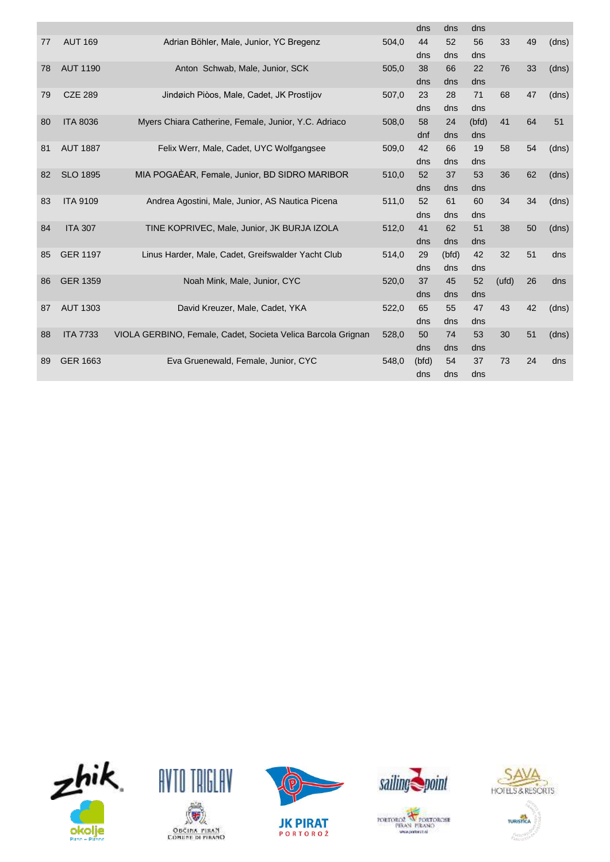|    |                 |                                                              |       | dns   | dns   | dns   |       |    |       |
|----|-----------------|--------------------------------------------------------------|-------|-------|-------|-------|-------|----|-------|
| 77 | <b>AUT 169</b>  | Adrian Böhler, Male, Junior, YC Bregenz                      | 504,0 | 44    | 52    | 56    | 33    | 49 | (dns) |
|    |                 |                                                              |       | dns   | dns   | dns   |       |    |       |
| 78 | <b>AUT 1190</b> | Anton Schwab, Male, Junior, SCK                              | 505,0 | 38    | 66    | 22    | 76    | 33 | (dns) |
|    |                 |                                                              |       | dns   | dns   | dns   |       |    |       |
| 79 | <b>CZE 289</b>  | Jindøich Piòos, Male, Cadet, JK Prostijov                    | 507,0 | 23    | 28    | 71    | 68    | 47 | (dns) |
|    |                 |                                                              |       | dns   | dns   | dns   |       |    |       |
| 80 | <b>ITA 8036</b> | Myers Chiara Catherine, Female, Junior, Y.C. Adriaco         | 508,0 | 58    | 24    | (bfd) | 41    | 64 | 51    |
|    |                 |                                                              |       | dnf   | dns   | dns   |       |    |       |
| 81 | <b>AUT 1887</b> | Felix Werr, Male, Cadet, UYC Wolfgangsee                     | 509,0 | 42    | 66    | 19    | 58    | 54 | (dns) |
|    |                 |                                                              |       | dns   | dns   | dns   |       |    |       |
| 82 | <b>SLO 1895</b> | MIA POGAÈAR, Female, Junior, BD SIDRO MARIBOR                | 510,0 | 52    | 37    | 53    | 36    | 62 | (dns) |
|    |                 |                                                              |       | dns   | dns   | dns   |       |    |       |
| 83 | <b>ITA 9109</b> | Andrea Agostini, Male, Junior, AS Nautica Picena             | 511,0 | 52    | 61    | 60    | 34    | 34 | (dns) |
|    |                 |                                                              |       | dns   | dns   | dns   |       |    |       |
| 84 | <b>ITA 307</b>  | TINE KOPRIVEC, Male, Junior, JK BURJA IZOLA                  | 512,0 | 41    | 62    | 51    | 38    | 50 | (dns) |
|    |                 |                                                              |       | dns   | dns   | dns   |       |    |       |
| 85 | <b>GER 1197</b> | Linus Harder, Male, Cadet, Greifswalder Yacht Club           | 514,0 | 29    | (bfd) | 42    | 32    | 51 | dns   |
|    |                 |                                                              |       | dns   | dns   | dns   |       |    |       |
| 86 | <b>GER 1359</b> | Noah Mink, Male, Junior, CYC                                 | 520,0 | 37    | 45    | 52    | (ufd) | 26 | dns   |
|    |                 |                                                              |       | dns   | dns   | dns   |       |    |       |
| 87 | <b>AUT 1303</b> | David Kreuzer, Male, Cadet, YKA                              | 522,0 | 65    | 55    | 47    | 43    | 42 | (dns) |
|    |                 |                                                              |       | dns   | dns   | dns   |       |    |       |
| 88 | <b>ITA 7733</b> | VIOLA GERBINO, Female, Cadet, Societa Velica Barcola Grignan | 528,0 | 50    | 74    | 53    | 30    | 51 | (dns) |
|    |                 |                                                              |       | dns   | dns   | dns   |       |    |       |
| 89 | <b>GER 1663</b> | Eva Gruenewald, Female, Junior, CYC                          | 548,0 | (bfd) | 54    | 37    | 73    | 24 | dns   |
|    |                 |                                                              |       | dns   | dns   | dns   |       |    |       |













t<br>Caracter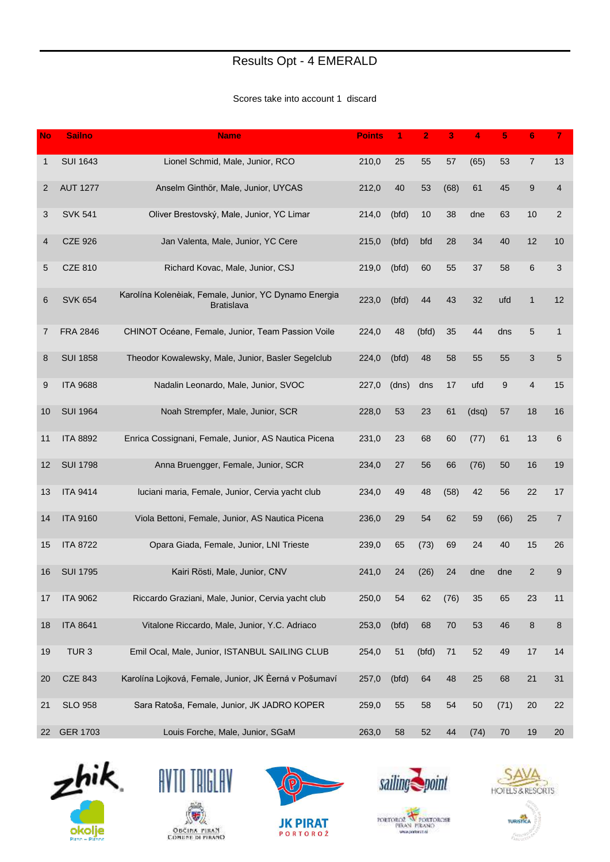### Results Opt - 4 EMERALD

#### Scores take into account 1 discard

| No             | <b>Sailno</b>    | <b>Name</b>                                                         | <b>Points</b> |       | $\overline{2}$ | 3    | 4     | 5    | 6              |                |
|----------------|------------------|---------------------------------------------------------------------|---------------|-------|----------------|------|-------|------|----------------|----------------|
| 1              | <b>SUI 1643</b>  | Lionel Schmid, Male, Junior, RCO                                    | 210,0         | 25    | 55             | 57   | (65)  | 53   | $\overline{7}$ | 13             |
| $\overline{2}$ | <b>AUT 1277</b>  | Anselm Ginthör, Male, Junior, UYCAS                                 | 212,0         | 40    | 53             | (68) | 61    | 45   | 9              | 4              |
| 3              | <b>SVK 541</b>   | Oliver Brestovský, Male, Junior, YC Limar                           | 214,0         | (bfd) | 10             | 38   | dne   | 63   | 10             | 2              |
| 4              | <b>CZE 926</b>   | Jan Valenta, Male, Junior, YC Cere                                  | 215,0         | (bfd) | bfd            | 28   | 34    | 40   | 12             | 10             |
| 5              | <b>CZE 810</b>   | Richard Kovac, Male, Junior, CSJ                                    | 219,0         | (bfd) | 60             | 55   | 37    | 58   | 6              | 3              |
| 6              | <b>SVK 654</b>   | Karolína Kolenèiak, Female, Junior, YC Dynamo Energia<br>Bratislava | 223,0         | (bfd) | 44             | 43   | 32    | ufd  | $\mathbf{1}$   | 12             |
| 7              | <b>FRA 2846</b>  | CHINOT Océane, Female, Junior, Team Passion Voile                   | 224,0         | 48    | (bfd)          | 35   | 44    | dns  | 5              | $\mathbf{1}$   |
| 8              | <b>SUI 1858</b>  | Theodor Kowalewsky, Male, Junior, Basler Segelclub                  | 224,0         | (bfd) | 48             | 58   | 55    | 55   | 3              | 5              |
| 9              | <b>ITA 9688</b>  | Nadalin Leonardo, Male, Junior, SVOC                                | 227,0         | (dns) | dns            | 17   | ufd   | 9    | 4              | 15             |
| 10             | <b>SUI 1964</b>  | Noah Strempfer, Male, Junior, SCR                                   | 228,0         | 53    | 23             | 61   | (dsq) | 57   | 18             | 16             |
| 11             | <b>ITA 8892</b>  | Enrica Cossignani, Female, Junior, AS Nautica Picena                | 231,0         | 23    | 68             | 60   | (77)  | 61   | 13             | 6              |
| 12             | <b>SUI 1798</b>  | Anna Bruengger, Female, Junior, SCR                                 | 234,0         | 27    | 56             | 66   | (76)  | 50   | 16             | 19             |
| 13             | <b>ITA 9414</b>  | luciani maria, Female, Junior, Cervia yacht club                    | 234,0         | 49    | 48             | (58) | 42    | 56   | 22             | 17             |
| 14             | <b>ITA 9160</b>  | Viola Bettoni, Female, Junior, AS Nautica Picena                    | 236,0         | 29    | 54             | 62   | 59    | (66) | 25             | $\overline{7}$ |
| 15             | <b>ITA 8722</b>  | Opara Giada, Female, Junior, LNI Trieste                            | 239,0         | 65    | (73)           | 69   | 24    | 40   | 15             | 26             |
| 16             | <b>SUI 1795</b>  | Kairi Rösti, Male, Junior, CNV                                      | 241,0         | 24    | (26)           | 24   | dne   | dne  | 2              | 9              |
| 17             | <b>ITA 9062</b>  | Riccardo Graziani, Male, Junior, Cervia yacht club                  | 250,0         | 54    | 62             | (76) | 35    | 65   | 23             | 11             |
| 18             | <b>ITA 8641</b>  | Vitalone Riccardo, Male, Junior, Y.C. Adriaco                       | 253,0         | (bfd) | 68             | 70   | 53    | 46   | $\bf 8$        | 8              |
| 19             | TUR <sub>3</sub> | Emil Ocal, Male, Junior, ISTANBUL SAILING CLUB                      | 254,0         | 51    | (bfd)          | 71   | 52    | 49   | 17             | 14             |
| 20             | <b>CZE 843</b>   | Karolína Lojková, Female, Junior, JK Èerná v Pošumaví               | 257,0         | (bfd) | 64             | 48   | 25    | 68   | 21             | 31             |
| 21             | <b>SLO 958</b>   | Sara Ratoša, Female, Junior, JK JADRO KOPER                         | 259,0         | 55    | 58             | 54   | 50    | (71) | 20             | 22             |
| 22             | <b>GER 1703</b>  | Louis Forche, Male, Junior, SGaM                                    | 263,0         | 58    | 52             | 44   | (74)  | 70   | 19             | 20             |











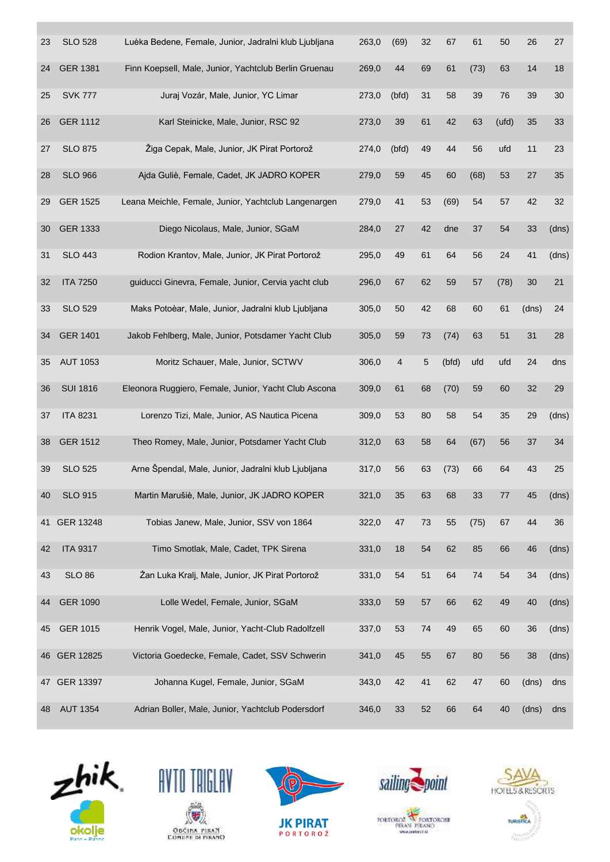| 23 | <b>SLO 528</b>  | Luèka Bedene, Female, Junior, Jadralni klub Ljubljana | 263,0 | (69)  | 32 | 67    | 61   | 50    | 26    | 27    |
|----|-----------------|-------------------------------------------------------|-------|-------|----|-------|------|-------|-------|-------|
| 24 | <b>GER 1381</b> | Finn Koepsell, Male, Junior, Yachtclub Berlin Gruenau | 269,0 | 44    | 69 | 61    | (73) | 63    | 14    | 18    |
| 25 | <b>SVK 777</b>  | Juraj Vozár, Male, Junior, YC Limar                   | 273,0 | (bfd) | 31 | 58    | 39   | 76    | 39    | 30    |
| 26 | <b>GER 1112</b> | Karl Steinicke, Male, Junior, RSC 92                  | 273,0 | 39    | 61 | 42    | 63   | (ufd) | 35    | 33    |
| 27 | <b>SLO 875</b>  | Žiga Cepak, Male, Junior, JK Pirat Portorož           | 274,0 | (bfd) | 49 | 44    | 56   | ufd   | 11    | 23    |
| 28 | <b>SLO 966</b>  | Ajda Guliè, Female, Cadet, JK JADRO KOPER             | 279,0 | 59    | 45 | 60    | (68) | 53    | 27    | 35    |
| 29 | <b>GER 1525</b> | Leana Meichle, Female, Junior, Yachtclub Langenargen  | 279,0 | 41    | 53 | (69)  | 54   | 57    | 42    | 32    |
| 30 | <b>GER 1333</b> | Diego Nicolaus, Male, Junior, SGaM                    | 284,0 | 27    | 42 | dne   | 37   | 54    | 33    | (dns) |
| 31 | <b>SLO 443</b>  | Rodion Krantov, Male, Junior, JK Pirat Portorož       | 295,0 | 49    | 61 | 64    | 56   | 24    | 41    | (dns) |
| 32 | <b>ITA 7250</b> | guiducci Ginevra, Female, Junior, Cervia yacht club   | 296,0 | 67    | 62 | 59    | 57   | (78)  | 30    | 21    |
| 33 | <b>SLO 529</b>  | Maks Potoèar, Male, Junior, Jadralni klub Ljubljana   | 305,0 | 50    | 42 | 68    | 60   | 61    | (dns) | 24    |
| 34 | <b>GER 1401</b> | Jakob Fehlberg, Male, Junior, Potsdamer Yacht Club    | 305,0 | 59    | 73 | (74)  | 63   | 51    | 31    | 28    |
| 35 | <b>AUT 1053</b> | Moritz Schauer, Male, Junior, SCTWV                   | 306,0 | 4     | 5  | (bfd) | ufd  | ufd   | 24    | dns   |
| 36 | <b>SUI 1816</b> | Eleonora Ruggiero, Female, Junior, Yacht Club Ascona  | 309,0 | 61    | 68 | (70)  | 59   | 60    | 32    | 29    |
| 37 | <b>ITA 8231</b> | Lorenzo Tizi, Male, Junior, AS Nautica Picena         | 309,0 | 53    | 80 | 58    | 54   | 35    | 29    | (dns) |
| 38 | <b>GER 1512</b> | Theo Romey, Male, Junior, Potsdamer Yacht Club        | 312,0 | 63    | 58 | 64    | (67) | 56    | 37    | 34    |
| 39 | <b>SLO 525</b>  | Arne Špendal, Male, Junior, Jadralni klub Ljubljana   | 317,0 | 56    | 63 | (73)  | 66   | 64    | 43    | 25    |
| 40 | <b>SLO 915</b>  | Martin Marušiè, Male, Junior, JK JADRO KOPER          | 321,0 | 35    | 63 | 68    | 33   | 77    | 45    | (dns) |
| 41 | GER 13248       | Tobias Janew, Male, Junior, SSV von 1864              | 322,0 | 47    | 73 | 55    | (75) | 67    | 44    | 36    |
| 42 | <b>ITA 9317</b> | Timo Smotlak, Male, Cadet, TPK Sirena                 | 331,0 | 18    | 54 | 62    | 85   | 66    | 46    | (dns) |
| 43 | <b>SLO 86</b>   | Žan Luka Kralj, Male, Junior, JK Pirat Portorož       | 331,0 | 54    | 51 | 64    | 74   | 54    | 34    | (dns) |
| 44 | <b>GER 1090</b> | Lolle Wedel, Female, Junior, SGaM                     | 333,0 | 59    | 57 | 66    | 62   | 49    | 40    | (dns) |
| 45 | <b>GER 1015</b> | Henrik Vogel, Male, Junior, Yacht-Club Radolfzell     | 337,0 | 53    | 74 | 49    | 65   | 60    | 36    | (dns) |
| 46 | GER 12825       | Victoria Goedecke, Female, Cadet, SSV Schwerin        | 341,0 | 45    | 55 | 67    | 80   | 56    | 38    | (dns) |
| 47 | GER 13397       | Johanna Kugel, Female, Junior, SGaM                   | 343,0 | 42    | 41 | 62    | 47   | 60    | (dns) | dns   |
| 48 | <b>AUT 1354</b> | Adrian Boller, Male, Junior, Yachtclub Podersdorf     | 346,0 | 33    | 52 | 66    | 64   | 40    | (dns) | dns   |









**TORTOROZ**<br>PIRAN PIRANO<br>WALDOROZA



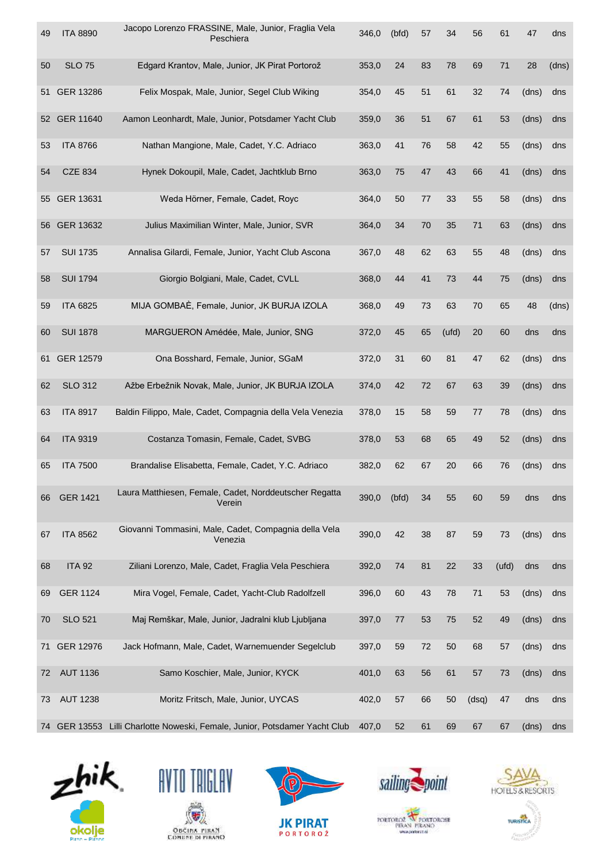| 49 | <b>ITA 8890</b> | Jacopo Lorenzo FRASSINE, Male, Junior, Fraglia Vela<br>Peschiera           | 346,0 | (bfd) | 57 | 34    | 56    | 61    | 47    | dns   |
|----|-----------------|----------------------------------------------------------------------------|-------|-------|----|-------|-------|-------|-------|-------|
| 50 | <b>SLO 75</b>   | Edgard Krantov, Male, Junior, JK Pirat Portorož                            | 353,0 | 24    | 83 | 78    | 69    | 71    | 28    | (dns) |
| 51 | GER 13286       | Felix Mospak, Male, Junior, Segel Club Wiking                              | 354,0 | 45    | 51 | 61    | 32    | 74    | (dns) | dns   |
| 52 | GER 11640       | Aamon Leonhardt, Male, Junior, Potsdamer Yacht Club                        | 359,0 | 36    | 51 | 67    | 61    | 53    | (dns) | dns   |
| 53 | <b>ITA 8766</b> | Nathan Mangione, Male, Cadet, Y.C. Adriaco                                 | 363,0 | 41    | 76 | 58    | 42    | 55    | (dns) | dns   |
| 54 | <b>CZE 834</b>  | Hynek Dokoupil, Male, Cadet, Jachtklub Brno                                | 363,0 | 75    | 47 | 43    | 66    | 41    | (dns) | dns   |
| 55 | GER 13631       | Weda Hörner, Female, Cadet, Royc                                           | 364,0 | 50    | 77 | 33    | 55    | 58    | (dns) | dns   |
| 56 | GER 13632       | Julius Maximilian Winter, Male, Junior, SVR                                | 364,0 | 34    | 70 | 35    | 71    | 63    | (dns) | dns   |
| 57 | <b>SUI 1735</b> | Annalisa Gilardi, Female, Junior, Yacht Club Ascona                        | 367,0 | 48    | 62 | 63    | 55    | 48    | (dns) | dns   |
| 58 | <b>SUI 1794</b> | Giorgio Bolgiani, Male, Cadet, CVLL                                        | 368,0 | 44    | 41 | 73    | 44    | 75    | (dns) | dns   |
| 59 | <b>ITA 6825</b> | MIJA GOMBAÈ, Female, Junior, JK BURJA IZOLA                                | 368,0 | 49    | 73 | 63    | 70    | 65    | 48    | (dns) |
| 60 | <b>SUI 1878</b> | MARGUERON Amédée, Male, Junior, SNG                                        | 372,0 | 45    | 65 | (ufd) | 20    | 60    | dns   | dns   |
| 61 | GER 12579       | Ona Bosshard, Female, Junior, SGaM                                         | 372,0 | 31    | 60 | 81    | 47    | 62    | (dns) | dns   |
| 62 | <b>SLO 312</b>  | Ažbe Erbežnik Novak, Male, Junior, JK BURJA IZOLA                          | 374,0 | 42    | 72 | 67    | 63    | 39    | (dns) | dns   |
| 63 | <b>ITA 8917</b> | Baldin Filippo, Male, Cadet, Compagnia della Vela Venezia                  | 378,0 | 15    | 58 | 59    | 77    | 78    | (dns) | dns   |
| 64 | <b>ITA 9319</b> | Costanza Tomasin, Female, Cadet, SVBG                                      | 378,0 | 53    | 68 | 65    | 49    | 52    | (dns) | dns   |
| 65 | <b>ITA 7500</b> | Brandalise Elisabetta, Female, Cadet, Y.C. Adriaco                         | 382,0 | 62    | 67 | 20    | 66    | 76    | (dns) | dns   |
| 66 | <b>GER 1421</b> | Laura Matthiesen, Female, Cadet, Norddeutscher Regatta<br>Verein           | 390,0 | (bfd) | 34 | 55    | 60    | 59    | dns   | dns   |
| 67 | <b>ITA 8562</b> | Giovanni Tommasini, Male, Cadet, Compagnia della Vela<br>Venezia           | 390,0 | 42    | 38 | 87    | 59    | 73    | (dns) | dns   |
| 68 | <b>ITA 92</b>   | Ziliani Lorenzo, Male, Cadet, Fraglia Vela Peschiera                       | 392,0 | 74    | 81 | 22    | 33    | (ufd) | dns   | dns   |
| 69 | <b>GER 1124</b> | Mira Vogel, Female, Cadet, Yacht-Club Radolfzell                           | 396,0 | 60    | 43 | 78    | 71    | 53    | (dns) | dns   |
| 70 | <b>SLO 521</b>  | Maj Remškar, Male, Junior, Jadralni klub Ljubljana                         | 397,0 | 77    | 53 | 75    | 52    | 49    | (dns) | dns   |
| 71 | GER 12976       | Jack Hofmann, Male, Cadet, Warnemuender Segelclub                          | 397,0 | 59    | 72 | 50    | 68    | 57    | (dns) | dns   |
| 72 | <b>AUT 1136</b> | Samo Koschier, Male, Junior, KYCK                                          | 401,0 | 63    | 56 | 61    | 57    | 73    | (dns) | dns   |
| 73 | <b>AUT 1238</b> | Moritz Fritsch, Male, Junior, UYCAS                                        | 402,0 | 57    | 66 | 50    | (dsq) | 47    | dns   | dns   |
|    |                 | 74 GER 13553 Lilli Charlotte Noweski, Female, Junior, Potsdamer Yacht Club | 407,0 | 52    | 61 | 69    | 67    | 67    | (dns) | dns   |











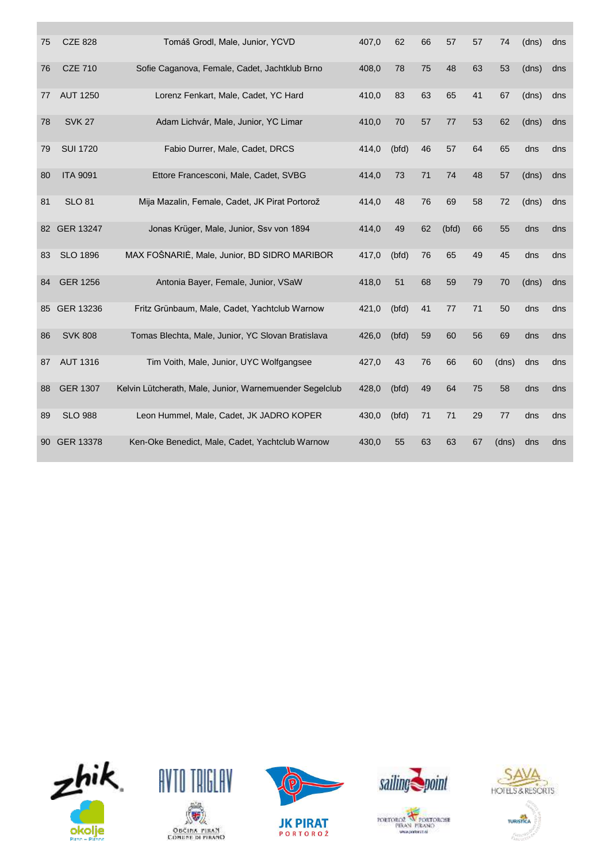| 75 | <b>CZE 828</b>   | Tomáš Grodl, Male, Junior, YCVD                         | 407,0 | 62    | 66 | 57    | 57 | 74    | (dns) | dns |
|----|------------------|---------------------------------------------------------|-------|-------|----|-------|----|-------|-------|-----|
| 76 | <b>CZE 710</b>   | Sofie Caganova, Female, Cadet, Jachtklub Brno           | 408,0 | 78    | 75 | 48    | 63 | 53    | (dns) | dns |
| 77 | <b>AUT 1250</b>  | Lorenz Fenkart, Male, Cadet, YC Hard                    | 410,0 | 83    | 63 | 65    | 41 | 67    | (dns) | dns |
| 78 | <b>SVK 27</b>    | Adam Lichvár, Male, Junior, YC Limar                    | 410,0 | 70    | 57 | 77    | 53 | 62    | (dns) | dns |
| 79 | <b>SUI 1720</b>  | Fabio Durrer, Male, Cadet, DRCS                         | 414,0 | (bfd) | 46 | 57    | 64 | 65    | dns   | dns |
| 80 | <b>ITA 9091</b>  | Ettore Francesconi, Male, Cadet, SVBG                   | 414,0 | 73    | 71 | 74    | 48 | 57    | (dns) | dns |
| 81 | <b>SLO 81</b>    | Mija Mazalin, Female, Cadet, JK Pirat Portorož          | 414,0 | 48    | 76 | 69    | 58 | 72    | (dns) | dns |
| 82 | <b>GER 13247</b> | Jonas Krüger, Male, Junior, Ssv von 1894                | 414,0 | 49    | 62 | (bfd) | 66 | 55    | dns   | dns |
| 83 | <b>SLO 1896</b>  | MAX FOŠNARIÈ, Male, Junior, BD SIDRO MARIBOR            | 417,0 | (bfd) | 76 | 65    | 49 | 45    | dns   | dns |
| 84 | <b>GER 1256</b>  | Antonia Bayer, Female, Junior, VSaW                     | 418,0 | 51    | 68 | 59    | 79 | 70    | (dns) | dns |
| 85 | GER 13236        | Fritz Grünbaum, Male, Cadet, Yachtclub Warnow           | 421,0 | (bfd) | 41 | 77    | 71 | 50    | dns   | dns |
| 86 | <b>SVK 808</b>   | Tomas Blechta, Male, Junior, YC Slovan Bratislava       | 426,0 | (bfd) | 59 | 60    | 56 | 69    | dns   | dns |
| 87 | <b>AUT 1316</b>  | Tim Voith, Male, Junior, UYC Wolfgangsee                | 427,0 | 43    | 76 | 66    | 60 | (dns) | dns   | dns |
| 88 | <b>GER 1307</b>  | Kelvin Lütcherath, Male, Junior, Warnemuender Segelclub | 428,0 | (bfd) | 49 | 64    | 75 | 58    | dns   | dns |
| 89 | <b>SLO 988</b>   | Leon Hummel, Male, Cadet, JK JADRO KOPER                | 430,0 | (bfd) | 71 | 71    | 29 | 77    | dns   | dns |
| 90 | GER 13378        | Ken-Oke Benedict, Male, Cadet, Yachtclub Warnow         | 430,0 | 55    | 63 | 63    | 67 | (dns) | dns   | dns |









**TORTOROZ**<br>PIRAN PIRANO<br>WALDOROZA



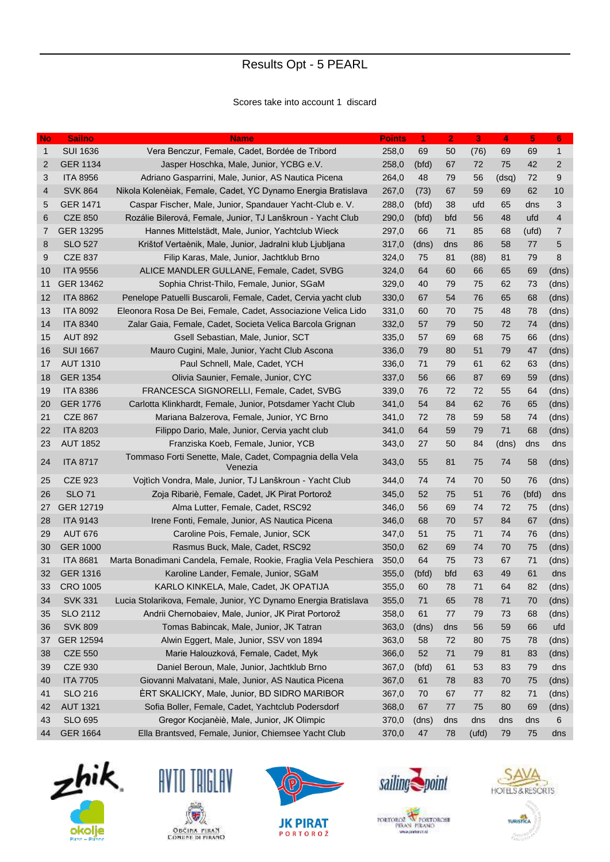# Results Opt - 5 PEARL

#### Scores take into account 1 discard

| <b>No</b> | <b>Sailno</b>    | <b>Name</b>                                                         | <b>Points</b> | 1      | $\overline{2}$ | 3     | 4     | 5     | 6            |
|-----------|------------------|---------------------------------------------------------------------|---------------|--------|----------------|-------|-------|-------|--------------|
| 1         | <b>SUI 1636</b>  | Vera Benczur, Female, Cadet, Bordée de Tribord                      | 258,0         | 69     | 50             | (76)  | 69    | 69    | $\mathbf{1}$ |
| 2         | <b>GER 1134</b>  | Jasper Hoschka, Male, Junior, YCBG e.V.                             | 258,0         | (bfd)  | 67             | 72    | 75    | 42    | 2            |
| 3         | <b>ITA 8956</b>  | Adriano Gasparrini, Male, Junior, AS Nautica Picena                 | 264,0         | 48     | 79             | 56    | (dsq) | 72    | 9            |
| 4         | <b>SVK 864</b>   | Nikola Kolenèiak, Female, Cadet, YC Dynamo Energia Bratislava       | 267,0         | (73)   | 67             | 59    | 69    | 62    | 10           |
| 5         | GER 1471         | Caspar Fischer, Male, Junior, Spandauer Yacht-Club e. V.            | 288,0         | (bfd)  | 38             | ufd   | 65    | dns   | 3            |
| 6         | <b>CZE 850</b>   | Rozálie Bilerová, Female, Junior, TJ Lanškroun - Yacht Club         | 290,0         | (bfd)  | bfd            | 56    | 48    | ufd   | 4            |
| 7         | GER 13295        | Hannes Mittelstädt, Male, Junior, Yachtclub Wieck                   | 297,0         | 66     | 71             | 85    | 68    | (ufd) | 7            |
| 8         | <b>SLO 527</b>   | Krištof Vertaènik, Male, Junior, Jadralni klub Ljubljana            | 317,0         | (dns)  | dns            | 86    | 58    | 77    | 5            |
| 9         | <b>CZE 837</b>   | Filip Karas, Male, Junior, Jachtklub Brno                           | 324,0         | 75     | 81             | (88)  | 81    | 79    | 8            |
| 10        | <b>ITA 9556</b>  | ALICE MANDLER GULLANE, Female, Cadet, SVBG                          | 324,0         | 64     | 60             | 66    | 65    | 69    | (dns)        |
| 11        | GER 13462        | Sophia Christ-Thilo, Female, Junior, SGaM                           | 329,0         | 40     | 79             | 75    | 62    | 73    | (dns)        |
| 12        | <b>ITA 8862</b>  | Penelope Patuelli Buscaroli, Female, Cadet, Cervia yacht club       | 330,0         | 67     | 54             | 76    | 65    | 68    | (dns)        |
| 13        | <b>ITA 8092</b>  | Eleonora Rosa De Bei, Female, Cadet, Associazione Velica Lido       | 331,0         | 60     | 70             | 75    | 48    | 78    | (dns)        |
| 14        | <b>ITA 8340</b>  | Zalar Gaia, Female, Cadet, Societa Velica Barcola Grignan           | 332,0         | 57     | 79             | 50    | 72    | 74    | (dns)        |
| 15        | <b>AUT 892</b>   | Gsell Sebastian, Male, Junior, SCT                                  | 335,0         | 57     | 69             | 68    | 75    | 66    | (dns)        |
| 16        | <b>SUI 1667</b>  | Mauro Cugini, Male, Junior, Yacht Club Ascona                       | 336,0         | 79     | 80             | 51    | 79    | 47    | (dns)        |
| 17        | <b>AUT 1310</b>  | Paul Schnell, Male, Cadet, YCH                                      | 336,0         | 71     | 79             | 61    | 62    | 63    | (dns)        |
| 18        | <b>GER 1354</b>  | Olivia Saunier, Female, Junior, CYC                                 | 337,0         | 56     | 66             | 87    | 69    | 59    | (dns)        |
| 19        | <b>ITA 8386</b>  | FRANCESCA SIGNORELLI, Female, Cadet, SVBG                           | 339,0         | 76     | 72             | 72    | 55    | 64    | (dns)        |
| 20        | <b>GER 1776</b>  | Carlotta Klinkhardt, Female, Junior, Potsdamer Yacht Club           | 341,0         | 54     | 84             | 62    | 76    | 65    | (dns)        |
| 21        | <b>CZE 867</b>   | Mariana Balzerova, Female, Junior, YC Brno                          | 341,0         | 72     | 78             | 59    | 58    | 74    | (dns)        |
| 22        | <b>ITA 8203</b>  | Filippo Dario, Male, Junior, Cervia yacht club                      | 341,0         | 64     | 59             | 79    | 71    | 68    | (dns)        |
| 23        | <b>AUT 1852</b>  | Franziska Koeb, Female, Junior, YCB                                 | 343,0         | 27     | 50             | 84    | (dns) | dns   | dns          |
| 24        | <b>ITA 8717</b>  | Tommaso Forti Senette, Male, Cadet, Compagnia della Vela<br>Venezia | 343,0         | 55     | 81             | 75    | 74    | 58    | (dns)        |
| 25        | <b>CZE 923</b>   | Vojtich Vondra, Male, Junior, TJ Lanškroun - Yacht Club             | 344,0         | 74     | 74             | 70    | 50    | 76    | (dns)        |
| 26        | <b>SLO 71</b>    | Zoja Ribariè, Female, Cadet, JK Pirat Portorož                      | 345,0         | 52     | 75             | 51    | 76    | (bfd) | dns          |
| 27        | GER 12719        | Alma Lutter, Female, Cadet, RSC92                                   | 346,0         | 56     | 69             | 74    | 72    | 75    | (dns)        |
| 28        | <b>ITA 9143</b>  | Irene Fonti, Female, Junior, AS Nautica Picena                      | 346,0         | 68     | 70             | 57    | 84    | 67    | (dns)        |
| 29        | <b>AUT 676</b>   | Caroline Pois, Female, Junior, SCK                                  | 347,0         | 51     | 75             | 71    | 74    | 76    | (dns)        |
| 30        | <b>GER 1000</b>  | Rasmus Buck, Male, Cadet, RSC92                                     | 350,0         | 62     | 69             | 74    | 70    | 75    | (dns)        |
| 31        | <b>ITA 8681</b>  | Marta Bonadimani Candela, Female, Rookie, Fraglia Vela Peschiera    | 350,0         | 64     | 75             | 73    | 67    | 71    | (dns)        |
| 32        | <b>GER 1316</b>  | Karoline Lander, Female, Junior, SGaM                               | 355,0         | (bfd)  | bfd            | 63    | 49    | 61    | dns          |
| 33        | <b>CRO 1005</b>  | KARLO KINKELA, Male, Cadet, JK OPATIJA                              | 355,0         | 60     | 78             | 71    | 64    | 82    | (dns)        |
| 34        | <b>SVK 331</b>   | Lucia Stolarikova, Female, Junior, YC Dynamo Energia Bratislava     | 355,0         | 71     | 65             | 78    | 71    | 70    | (dns)        |
| 35        | <b>SLO 2112</b>  | Andrii Chernobaiev, Male, Junior, JK Pirat Portorož                 | 358,0         | 61     | 77             | 79    | 73    | 68    | (dns)        |
| 36        | <b>SVK 809</b>   | Tomas Babincak, Male, Junior, JK Tatran                             | 363,0         | (dns)  | dns            | 56    | 59    | 66    | ufd          |
| 37        | <b>GER 12594</b> | Alwin Eggert, Male, Junior, SSV von 1894                            | 363,0         | 58     | 72             | 80    | 75    | 78    | (dns)        |
| 38        | <b>CZE 550</b>   | Marie Halouzková, Female, Cadet, Myk                                | 366,0         | 52     | 71             | 79    | 81    | 83    | (dns)        |
| 39        | <b>CZE 930</b>   | Daniel Beroun, Male, Junior, Jachtklub Brno                         | 367,0         | (bfd)  | 61             | 53    | 83    | 79    | dns          |
| 40        | <b>ITA 7705</b>  | Giovanni Malvatani, Male, Junior, AS Nautica Picena                 | 367,0         | 61     | 78             | 83    | 70    | 75    | (dns)        |
| 41        | <b>SLO 216</b>   | ÈRT SKALICKY, Male, Junior, BD SIDRO MARIBOR                        | 367,0         | $70\,$ | 67             | 77    | 82    | 71    | (dns)        |
| 42        | <b>AUT 1321</b>  | Sofia Boller, Female, Cadet, Yachtclub Podersdorf                   | 368,0         | 67     | 77             | 75    | 80    | 69    | (dns)        |
| 43        | <b>SLO 695</b>   | Gregor Kocjanèiè, Male, Junior, JK Olimpic                          | 370,0         | (dns)  | dns            | dns   | dns   | dns   | 6            |
| 44        | <b>GER 1664</b>  | Ella Brantsved, Female, Junior, Chiemsee Yacht Club                 | 370,0         | 47     | 78             | (ufd) | 79    | 75    | dns          |